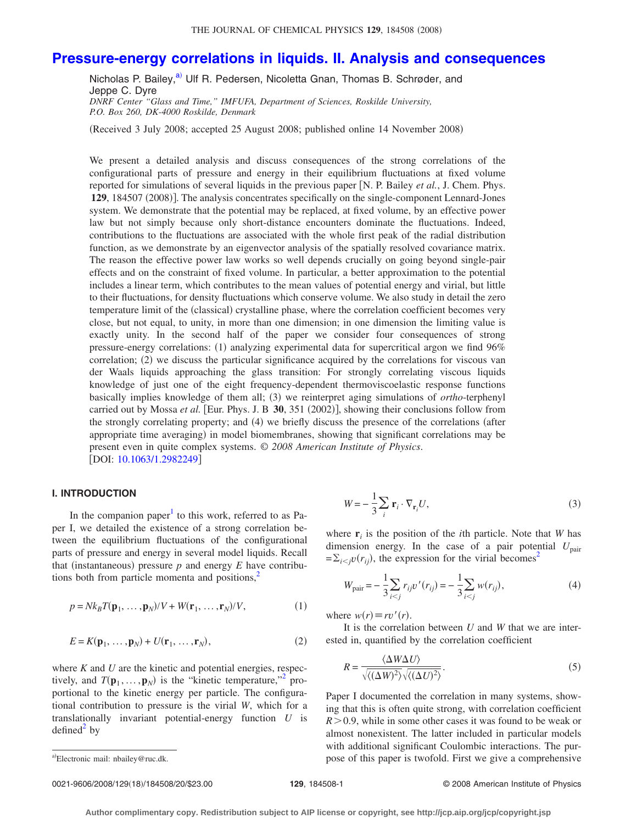# **[Pressure-energy correlations in liquids. II. Analysis and consequences](http://dx.doi.org/10.1063/1.2982249)**

Nicholas P. Bailey,<sup>a)</sup> Ulf R. Pedersen, Nicoletta Gnan, Thomas B. Schrøder, and Jeppe C. Dyre *DNRF Center "Glass and Time," IMFUFA, Department of Sciences, Roskilde University, P.O. Box 260, DK-4000 Roskilde, Denmark*

Received 3 July 2008; accepted 25 August 2008; published online 14 November 2008-

We present a detailed analysis and discuss consequences of the strong correlations of the configurational parts of pressure and energy in their equilibrium fluctuations at fixed volume reported for simulations of several liquids in the previous paper N. P. Bailey *et al.*, J. Chem. Phys. 129, 184507 (2008)]. The analysis concentrates specifically on the single-component Lennard-Jones system. We demonstrate that the potential may be replaced, at fixed volume, by an effective power law but not simply because only short-distance encounters dominate the fluctuations. Indeed, contributions to the fluctuations are associated with the whole first peak of the radial distribution function, as we demonstrate by an eigenvector analysis of the spatially resolved covariance matrix. The reason the effective power law works so well depends crucially on going beyond single-pair effects and on the constraint of fixed volume. In particular, a better approximation to the potential includes a linear term, which contributes to the mean values of potential energy and virial, but little to their fluctuations, for density fluctuations which conserve volume. We also study in detail the zero temperature limit of the (classical) crystalline phase, where the correlation coefficient becomes very close, but not equal, to unity, in more than one dimension; in one dimension the limiting value is exactly unity. In the second half of the paper we consider four consequences of strong pressure-energy correlations: (1) analyzing experimental data for supercritical argon we find 96% correlation; (2) we discuss the particular significance acquired by the correlations for viscous van der Waals liquids approaching the glass transition: For strongly correlating viscous liquids knowledge of just one of the eight frequency-dependent thermoviscoelastic response functions basically implies knowledge of them all; (3) we reinterpret aging simulations of *ortho*-terphenyl carried out by Mossa *et al.* [Eur. Phys. J. B 30, 351 (2002)], showing their conclusions follow from the strongly correlating property; and (4) we briefly discuss the presence of the correlations (after appropriate time averaging) in model biomembranes, showing that significant correlations may be present even in quite complex systems. © *2008 American Institute of Physics*. [DOI: [10.1063/1.2982249](http://dx.doi.org/10.1063/1.2982249)]

#### **I. INTRODUCTION**

In the companion paper<sup>1</sup> to this work, referred to as Paper I, we detailed the existence of a strong correlation between the equilibrium fluctuations of the configurational parts of pressure and energy in several model liquids. Recall that (instantaneous) pressure  $p$  and energy  $E$  have contributions both from particle momenta and positions, $<sup>2</sup>$ </sup>

$$
p = Nk_B T(\mathbf{p}_1, \dots, \mathbf{p}_N) / V + W(\mathbf{r}_1, \dots, \mathbf{r}_N) / V,\tag{1}
$$

$$
E = K(\mathbf{p}_1, \dots, \mathbf{p}_N) + U(\mathbf{r}_1, \dots, \mathbf{r}_N),
$$
\n(2)

where *K* and *U* are the kinetic and potential energies, respectively, and  $T(\mathbf{p}_1, \dots, \mathbf{p}_N)$  is the "kinetic temperature,"<sup>2</sup> proportional to the kinetic energy per particle. The configurational contribution to pressure is the virial *W*, which for a translationally invariant potential-energy function *U* is  $defined<sup>2</sup>$  $defined<sup>2</sup>$  $defined<sup>2</sup>$  by

$$
W = -\frac{1}{3} \sum_{i} \mathbf{r}_{i} \cdot \nabla_{\mathbf{r}_{i}} U,
$$
\n(3)

where  $\mathbf{r}_i$  is the position of the *i*th particle. Note that *W* has dimension energy. In the case of a pair potential  $U_{\text{pair}}$  $=\sum_{i < j} v(r_{ij})$ , the expression for the virial becomes<sup>2</sup>

$$
W_{\text{pair}} = -\frac{1}{3} \sum_{i < j} r_{ij} v'(r_{ij}) = -\frac{1}{3} \sum_{i < j} w(r_{ij}),\tag{4}
$$

where  $w(r) \equiv rv'(r)$ .

It is the correlation between *U* and *W* that we are interested in, quantified by the correlation coefficient

$$
R = \frac{\langle \Delta W \Delta U \rangle}{\sqrt{\langle (\Delta W)^2 \rangle} \sqrt{\langle (\Delta U)^2 \rangle}}.
$$
 (5)

Paper I documented the correlation in many systems, showing that this is often quite strong, with correlation coefficient  $R > 0.9$ , while in some other cases it was found to be weak or almost nonexistent. The latter included in particular models with additional significant Coulombic interactions. The purpose of this paper is twofold. First we give a comprehensive

<span id="page-0-0"></span>Electronic mail: nbailey@ruc.dk.

<sup>0021-9606/2008/129</sup>18/184508/20/\$23.00 © 2008 American Institute of Physics **129**, 184508-1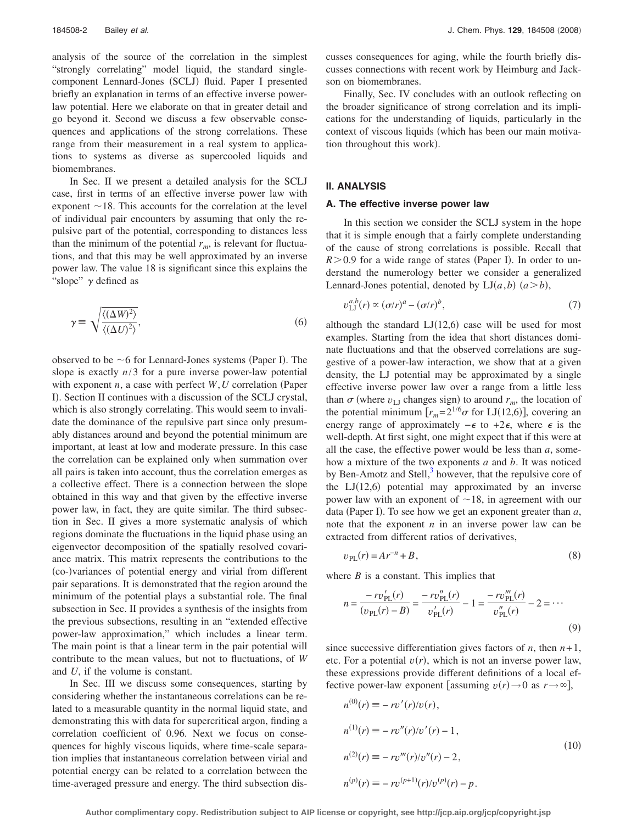analysis of the source of the correlation in the simplest "strongly correlating" model liquid, the standard singlecomponent Lennard-Jones (SCLJ) fluid. Paper I presented briefly an explanation in terms of an effective inverse powerlaw potential. Here we elaborate on that in greater detail and go beyond it. Second we discuss a few observable consequences and applications of the strong correlations. These range from their measurement in a real system to applications to systems as diverse as supercooled liquids and biomembranes.

In Sec. II we present a detailed analysis for the SCLJ case, first in terms of an effective inverse power law with exponent  $\sim$  18. This accounts for the correlation at the level of individual pair encounters by assuming that only the repulsive part of the potential, corresponding to distances less than the minimum of the potential  $r_m$ , is relevant for fluctuations, and that this may be well approximated by an inverse power law. The value 18 is significant since this explains the "slope"  $\gamma$  defined as

<span id="page-1-1"></span>
$$
\gamma \equiv \sqrt{\frac{\langle (\Delta W)^2 \rangle}{\langle (\Delta U)^2 \rangle}},\tag{6}
$$

observed to be  $\sim$  6 for Lennard-Jones systems (Paper I). The slope is exactly *n*/3 for a pure inverse power-law potential with exponent  $n$ , a case with perfect  $W, U$  correlation (Paper I). Section II continues with a discussion of the SCLJ crystal, which is also strongly correlating. This would seem to invalidate the dominance of the repulsive part since only presumably distances around and beyond the potential minimum are important, at least at low and moderate pressure. In this case the correlation can be explained only when summation over all pairs is taken into account, thus the correlation emerges as a collective effect. There is a connection between the slope obtained in this way and that given by the effective inverse power law, in fact, they are quite similar. The third subsection in Sec. II gives a more systematic analysis of which regions dominate the fluctuations in the liquid phase using an eigenvector decomposition of the spatially resolved covariance matrix. This matrix represents the contributions to the co--variances of potential energy and virial from different pair separations. It is demonstrated that the region around the minimum of the potential plays a substantial role. The final subsection in Sec. II provides a synthesis of the insights from the previous subsections, resulting in an "extended effective power-law approximation," which includes a linear term. The main point is that a linear term in the pair potential will contribute to the mean values, but not to fluctuations, of *W* and *U*, if the volume is constant.

In Sec. III we discuss some consequences, starting by considering whether the instantaneous correlations can be related to a measurable quantity in the normal liquid state, and demonstrating this with data for supercritical argon, finding a correlation coefficient of 0.96. Next we focus on consequences for highly viscous liquids, where time-scale separation implies that instantaneous correlation between virial and potential energy can be related to a correlation between the time-averaged pressure and energy. The third subsection discusses consequences for aging, while the fourth briefly discusses connections with recent work by Heimburg and Jackson on biomembranes.

Finally, Sec. IV concludes with an outlook reflecting on the broader significance of strong correlation and its implications for the understanding of liquids, particularly in the context of viscous liquids (which has been our main motivation throughout this work).

## **II. ANALYSIS**

#### **A. The effective inverse power law**

In this section we consider the SCLJ system in the hope that it is simple enough that a fairly complete understanding of the cause of strong correlations is possible. Recall that  $R > 0.9$  for a wide range of states (Paper I). In order to understand the numerology better we consider a generalized Lennard-Jones potential, denoted by  $LI(a,b)$   $(a > b)$ ,

$$
v_{\text{LJ}}^{a,b}(r) \propto (\sigma/r)^a - (\sigma/r)^b,\tag{7}
$$

although the standard  $LJ(12,6)$  case will be used for most examples. Starting from the idea that short distances dominate fluctuations and that the observed correlations are suggestive of a power-law interaction, we show that at a given density, the LJ potential may be approximated by a single effective inverse power law over a range from a little less than  $\sigma$  (where  $v_{\text{LJ}}$  changes sign) to around  $r_m$ , the location of the potential minimum  $[r_m=2^{1/6}\sigma \text{ for LJ}(12,6)]$ , covering an energy range of approximately  $-\epsilon$  to  $+2\epsilon$ , where  $\epsilon$  is the well-depth. At first sight, one might expect that if this were at all the case, the effective power would be less than *a*, somehow a mixture of the two exponents *a* and *b*. It was noticed by Ben-Amotz and Stell, $3$  however, that the repulsive core of the  $LJ(12,6)$  potential may approximated by an inverse power law with an exponent of  $\sim$  18, in agreement with our data (Paper I). To see how we get an exponent greater than *a*, note that the exponent *n* in an inverse power law can be extracted from different ratios of derivatives,

$$
v_{\rm PL}(r) = Ar^{-n} + B,\tag{8}
$$

where *B* is a constant. This implies that

$$
n = \frac{-rv'_{\text{PL}}(r)}{(v_{\text{PL}}(r) - B)} = \frac{-rv''_{\text{PL}}(r)}{v'_{\text{PL}}(r)} - 1 = \frac{-rv'''_{\text{PL}}(r)}{v''_{\text{PL}}(r)} - 2 = \cdots
$$
\n(9)

since successive differentiation gives factors of  $n$ , then  $n+1$ , etc. For a potential  $v(r)$ , which is not an inverse power law, these expressions provide different definitions of a local effective power-law exponent [assuming  $v(r) \rightarrow 0$  as  $r \rightarrow \infty$ ],

<span id="page-1-0"></span>
$$
n^{(0)}(r) \equiv -rv'(r)/v(r),
$$
  
\n
$$
n^{(1)}(r) \equiv -rv''(r)/v'(r) - 1,
$$
  
\n
$$
n^{(2)}(r) \equiv -rv'''(r)/v''(r) - 2,
$$
  
\n
$$
n^{(p)}(r) \equiv -rv^{(p+1)}(r)/v^{(p)}(r) - p.
$$
\n(10)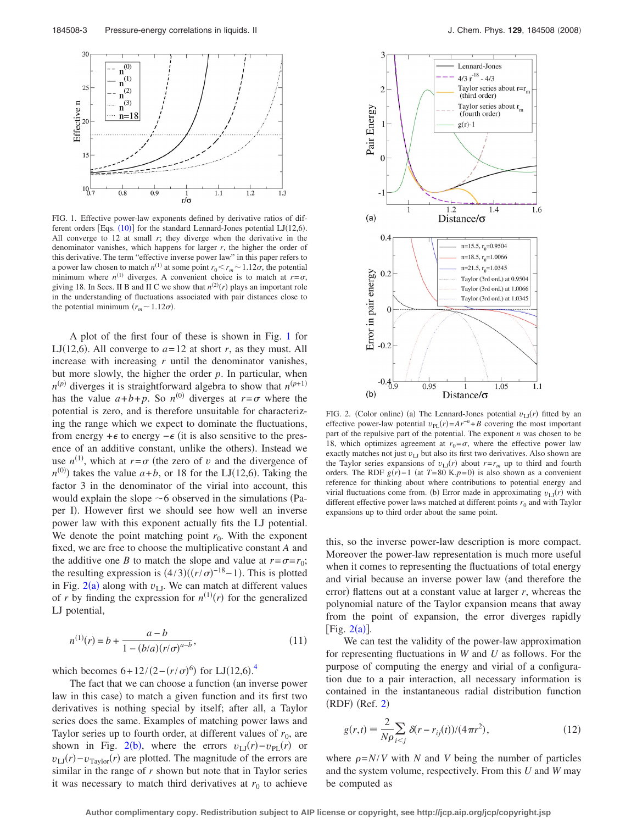<span id="page-2-0"></span>

FIG. 1. Effective power-law exponents defined by derivative ratios of different orders [Eqs.  $(10)$  $(10)$  $(10)$ ] for the standard Lennard-Jones potential LJ $(12,6)$ . All converge to  $12$  at small  $r$ ; they diverge when the derivative in the denominator vanishes, which happens for larger *r*, the higher the order of this derivative. The term "effective inverse power law" in this paper refers to a power law chosen to match  $n^{(1)}$  at some point  $r_0 < r_m \sim 1.12\sigma$ , the potential minimum where  $n^{(1)}$  diverges. A convenient choice is to match at  $r = \sigma$ , giving 18. In Secs. II B and II C we show that  $n^{(2)}(r)$  plays an important role in the understanding of fluctuations associated with pair distances close to the potential minimum  $(r_m \sim 1.12\sigma)$ .

A plot of the first four of these is shown in Fig. [1](#page-2-0) for LJ(12,6). All converge to  $a=12$  at short *r*, as they must. All increase with increasing *r* until the denominator vanishes, but more slowly, the higher the order *p*. In particular, when  $n^{(p)}$  diverges it is straightforward algebra to show that  $n^{(p+1)}$ has the value  $a+b+p$ . So  $n^{(0)}$  diverges at  $r = \sigma$  where the potential is zero, and is therefore unsuitable for characterizing the range which we expect to dominate the fluctuations, from energy + $\epsilon$  to energy  $-\epsilon$  (it is also sensitive to the presence of an additive constant, unlike the others). Instead we use  $n^{(1)}$ , which at  $r = \sigma$  (the zero of *v* and the divergence of  $n^{(0)}$ ) takes the value  $a+b$ , or 18 for the LJ(12,6). Taking the factor 3 in the denominator of the virial into account, this would explain the slope  $\sim$  6 observed in the simulations (Paper I). However first we should see how well an inverse power law with this exponent actually fits the LJ potential. We denote the point matching point  $r_0$ . With the exponent fixed, we are free to choose the multiplicative constant *A* and the additive one *B* to match the slope and value at  $r = \sigma = r_0$ ; the resulting expression is  $(4/3)((r/\sigma)^{-18}-1)$ . This is plotted in Fig.  $2(a)$  $2(a)$  along with  $v_{LJ}$ . We can match at different values of *r* by finding the expression for  $n^{(1)}(r)$  for the generalized LJ potential,

$$
n^{(1)}(r) = b + \frac{a - b}{1 - (b/a)(r/\sigma)^{a - b}},
$$
\n(11)

which becomes  $6 + 12/(2 - (r/\sigma)^6)$  for LJ $(12,6)$ .<sup>[4](#page-18-3)</sup>

The fact that we can choose a function (an inverse power law in this case) to match a given function and its first two derivatives is nothing special by itself; after all, a Taylor series does the same. Examples of matching power laws and Taylor series up to fourth order, at different values of  $r_0$ , are shown in Fig. [2](#page-2-1)(b), where the errors  $v_{\text{LJ}}(r) - v_{\text{PL}}(r)$  or  $v_{\text{LJ}}(r) - v_{\text{Taylor}}(r)$  are plotted. The magnitude of the errors are similar in the range of *r* shown but note that in Taylor series it was necessary to match third derivatives at  $r_0$  to achieve

<span id="page-2-1"></span>

FIG. 2. (Color online) (a) The Lennard-Jones potential  $v_{\text{LJ}}(r)$  fitted by an effective power-law potential  $v_{PL}(r) = Ar^{-n} + B$  covering the most important part of the repulsive part of the potential. The exponent *n* was chosen to be 18, which optimizes agreement at  $r_0 = \sigma$ , where the effective power law exactly matches not just  $v_{\text{LI}}$  but also its first two derivatives. Also shown are the Taylor series expansions of  $v_{\text{LJ}}(r)$  about  $r = r_m$  up to third and fourth orders. The RDF  $g(r) - 1$  (at  $T = 80$  K, $p = 0$ ) is also shown as a convenient reference for thinking about where contributions to potential energy and virial fluctuations come from. (b) Error made in approximating  $v_{\text{LJ}}(r)$  with different effective power laws matched at different points  $r_0$  and with Taylor expansions up to third order about the same point.

this, so the inverse power-law description is more compact. Moreover the power-law representation is much more useful when it comes to representing the fluctuations of total energy and virial because an inverse power law (and therefore the error) flattens out at a constant value at larger *r*, whereas the polynomial nature of the Taylor expansion means that away from the point of expansion, the error diverges rapidly [Fig.  $2(a)$  $2(a)$ ].

We can test the validity of the power-law approximation for representing fluctuations in *W* and *U* as follows. For the purpose of computing the energy and virial of a configuration due to a pair interaction, all necessary information is contained in the instantaneous radial distribution function  $(RDF)$  (Ref. [2](#page-18-1))

$$
g(r,t) = \frac{2}{N\rho} \sum_{i < j} \delta(r - r_{ij}(t)) / (4\pi r^2),\tag{12}
$$

where  $\rho = N/V$  with *N* and *V* being the number of particles and the system volume, respectively. From this *U* and *W* may be computed as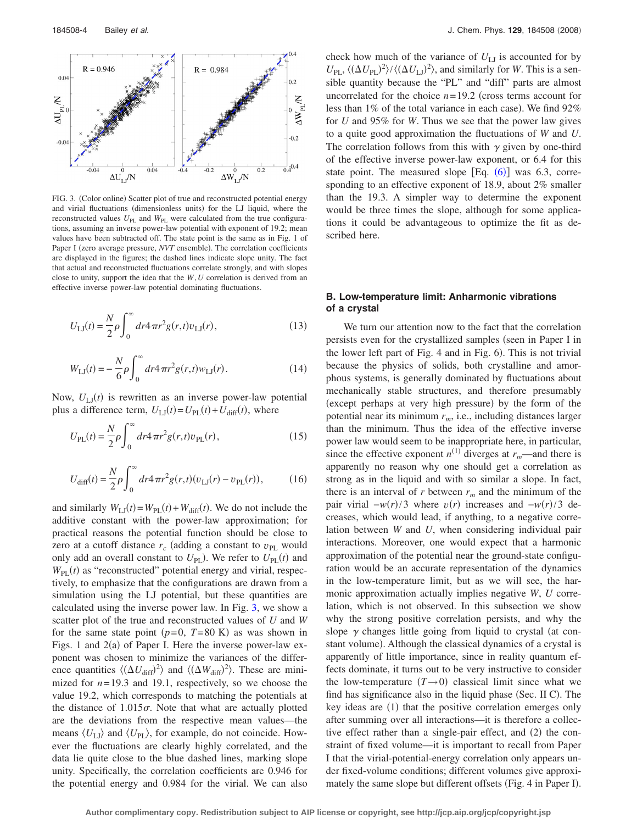<span id="page-3-0"></span>

FIG. 3. (Color online) Scatter plot of true and reconstructed potential energy and virial fluctuations (dimensionless units) for the LJ liquid, where the reconstructed values  $U_{\text{PL}}$  and  $W_{\text{PL}}$  were calculated from the true configurations, assuming an inverse power-law potential with exponent of 19.2; mean values have been subtracted off. The state point is the same as in Fig. 1 of Paper I (zero average pressure, *NVT* ensemble). The correlation coefficients are displayed in the figures; the dashed lines indicate slope unity. The fact that actual and reconstructed fluctuations correlate strongly, and with slopes close to unity, support the idea that the *W*,*U* correlation is derived from an effective inverse power-law potential dominating fluctuations.

<span id="page-3-1"></span>
$$
U_{\text{LJ}}(t) = \frac{N}{2} \rho \int_0^\infty dr^4 \pi r^2 g(r, t) v_{\text{LJ}}(r), \qquad (13)
$$

<span id="page-3-2"></span>
$$
W_{\text{LJ}}(t) = -\frac{N}{6}\rho \int_0^\infty dr^4 \pi r^2 g(r,t) w_{\text{LJ}}(r).
$$
 (14)

Now,  $U_{\text{LJ}}(t)$  is rewritten as an inverse power-law potential plus a difference term,  $U_{\text{LJ}}(t) = U_{\text{PL}}(t) + U_{\text{diff}}(t)$ , where

$$
U_{\rm PL}(t) = \frac{N}{2} \rho \int_0^{\infty} dr^4 \pi r^2 g(r, t) v_{\rm PL}(r),
$$
 (15)

<span id="page-3-3"></span>
$$
U_{\text{diff}}(t) = \frac{N}{2} \rho \int_0^\infty dr^2 \pi r^2 g(r, t) (v_{\text{LJ}}(r) - v_{\text{PL}}(r)), \tag{16}
$$

and similarly  $W_{\text{LJ}}(t) = W_{\text{PL}}(t) + W_{\text{diff}}(t)$ . We do not include the additive constant with the power-law approximation; for practical reasons the potential function should be close to zero at a cutoff distance  $r_c$  (adding a constant to  $v_{PL}$  would only add an overall constant to  $U_{\text{PL}}$ ). We refer to  $U_{\text{PL}}(t)$  and  $W_{\text{PL}}(t)$  as "reconstructed" potential energy and virial, respectively, to emphasize that the configurations are drawn from a simulation using the LJ potential, but these quantities are calculated using the inverse power law. In Fig. [3,](#page-3-0) we show a scatter plot of the true and reconstructed values of *U* and *W* for the same state point  $(p=0, T=80 \text{ K})$  as was shown in Figs. 1 and  $2(a)$  of Paper I. Here the inverse power-law exponent was chosen to minimize the variances of the difference quantities  $\langle (\Delta U_{\text{diff}})^2 \rangle$  and  $\langle (\Delta W_{\text{diff}})^2 \rangle$ . These are minimized for  $n=19.3$  and 19.1, respectively, so we choose the value 19.2, which corresponds to matching the potentials at the distance of  $1.015\sigma$ . Note that what are actually plotted are the deviations from the respective mean values—the means  $\langle U_{\text{L}} \rangle$  and  $\langle U_{\text{PL}} \rangle$ , for example, do not coincide. However the fluctuations are clearly highly correlated, and the data lie quite close to the blue dashed lines, marking slope unity. Specifically, the correlation coefficients are 0.946 for the potential energy and 0.984 for the virial. We can also check how much of the variance of  $U_{\text{LJ}}$  is accounted for by  $U_{\text{PL}}$ ,  $\langle (\Delta U_{\text{PL}})^2 \rangle / \langle (\Delta U_{\text{LI}})^2 \rangle$ , and similarly for *W*. This is a sensible quantity because the "PL" and "diff" parts are almost uncorrelated for the choice  $n = 19.2$  (cross terms account for less than  $1\%$  of the total variance in each case). We find  $92\%$ for *U* and 95% for *W*. Thus we see that the power law gives to a quite good approximation the fluctuations of *W* and *U*. The correlation follows from this with  $\gamma$  given by one-third of the effective inverse power-law exponent, or 6.4 for this state point. The measured slope  $[Eq. (6)]$  $[Eq. (6)]$  $[Eq. (6)]$  was 6.3, corresponding to an effective exponent of 18.9, about 2% smaller than the 19.3. A simpler way to determine the exponent would be three times the slope, although for some applications it could be advantageous to optimize the fit as described here.

## **B. Low-temperature limit: Anharmonic vibrations of a crystal**

We turn our attention now to the fact that the correlation persists even for the crystallized samples (seen in Paper I in the lower left part of Fig. 4 and in Fig. 6). This is not trivial because the physics of solids, both crystalline and amorphous systems, is generally dominated by fluctuations about mechanically stable structures, and therefore presumably (except perhaps at very high pressure) by the form of the potential near its minimum  $r_m$ , i.e., including distances larger than the minimum. Thus the idea of the effective inverse power law would seem to be inappropriate here, in particular, since the effective exponent  $n^{(1)}$  diverges at  $r_m$ —and there is apparently no reason why one should get a correlation as strong as in the liquid and with so similar a slope. In fact, there is an interval of  $r$  between  $r_m$  and the minimum of the pair virial  $-w(r)/3$  where  $v(r)$  increases and  $-w(r)/3$  decreases, which would lead, if anything, to a negative correlation between *W* and *U*, when considering individual pair interactions. Moreover, one would expect that a harmonic approximation of the potential near the ground-state configuration would be an accurate representation of the dynamics in the low-temperature limit, but as we will see, the harmonic approximation actually implies negative *W*, *U* correlation, which is not observed. In this subsection we show why the strong positive correlation persists, and why the slope  $\gamma$  changes little going from liquid to crystal (at constant volume). Although the classical dynamics of a crystal is apparently of little importance, since in reality quantum effects dominate, it turns out to be very instructive to consider the low-temperature  $(T \rightarrow 0)$  classical limit since what we find has significance also in the liquid phase (Sec. II C). The key ideas are (1) that the positive correlation emerges only after summing over all interactions—it is therefore a collective effect rather than a single-pair effect, and (2) the constraint of fixed volume—it is important to recall from Paper I that the virial-potential-energy correlation only appears under fixed-volume conditions; different volumes give approximately the same slope but different offsets (Fig. 4 in Paper I).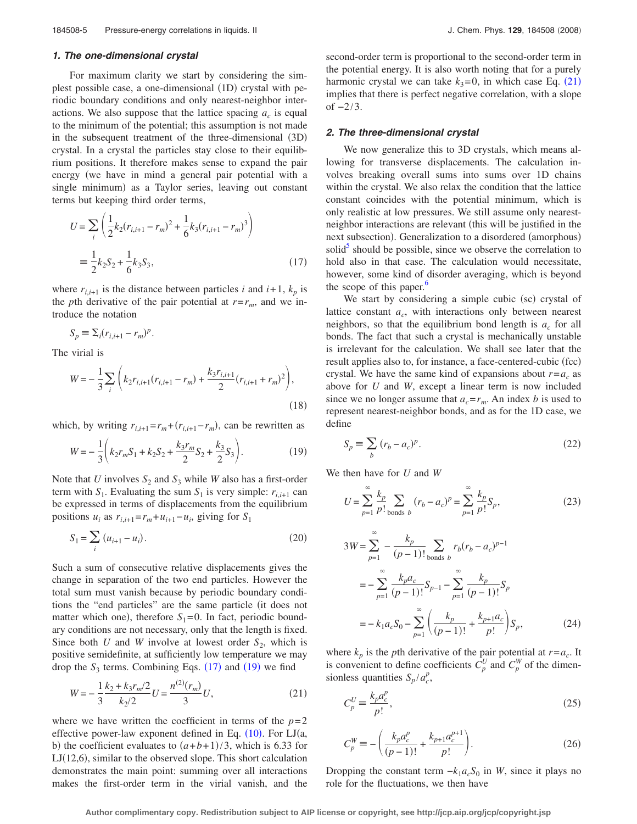#### *1. The one-dimensional crystal*

For maximum clarity we start by considering the simplest possible case, a one-dimensional (1D) crystal with periodic boundary conditions and only nearest-neighbor interactions. We also suppose that the lattice spacing  $a_c$  is equal to the minimum of the potential; this assumption is not made in the subsequent treatment of the three-dimensional (3D) crystal. In a crystal the particles stay close to their equilibrium positions. It therefore makes sense to expand the pair energy (we have in mind a general pair potential with a single minimum) as a Taylor series, leaving out constant terms but keeping third order terms,

<span id="page-4-0"></span>
$$
U = \sum_{i} \left( \frac{1}{2} k_2 (r_{i,i+1} - r_m)^2 + \frac{1}{6} k_3 (r_{i,i+1} - r_m)^3 \right)
$$
  
=  $\frac{1}{2} k_2 S_2 + \frac{1}{6} k_3 S_3,$  (17)

where  $r_{i,i+1}$  is the distance between particles *i* and  $i+1$ ,  $k_p$  is the *p*th derivative of the pair potential at  $r = r_m$ , and we introduce the notation

$$
S_p \equiv \sum_i (r_{i,i+1} - r_m)^p.
$$

The virial is

$$
W = -\frac{1}{3} \sum_{i} \left( k_2 r_{i,i+1} (r_{i,i+1} - r_m) + \frac{k_3 r_{i,i+1}}{2} (r_{i,i+1} + r_m)^2 \right),
$$
\n(18)

<span id="page-4-1"></span>which, by writing  $r_{i,i+1} = r_m + (r_{i,i+1} - r_m)$ , can be rewritten as

$$
W = -\frac{1}{3} \left( k_2 r_m S_1 + k_2 S_2 + \frac{k_3 r_m}{2} S_2 + \frac{k_3}{2} S_3 \right).
$$
 (19)

Note that *U* involves  $S_2$  and  $S_3$  while *W* also has a first-order term with  $S_1$ . Evaluating the sum  $S_1$  is very simple:  $r_{i,i+1}$  can be expressed in terms of displacements from the equilibrium positions  $u_i$  as  $r_{i,i+1} = r_m + u_{i+1} - u_i$ , giving for  $S_1$ 

$$
S_1 = \sum_i (u_{i+1} - u_i). \tag{20}
$$

Such a sum of consecutive relative displacements gives the change in separation of the two end particles. However the total sum must vanish because by periodic boundary conditions the "end particles" are the same particle (it does not matter which one), therefore  $S_1 = 0$ . In fact, periodic boundary conditions are not necessary, only that the length is fixed. Since both *U* and *W* involve at lowest order  $S_2$ , which is positive semidefinite, at sufficiently low temperature we may drop the  $S_3$  terms. Combining Eqs.  $(17)$  $(17)$  $(17)$  and  $(19)$  $(19)$  $(19)$  we find

<span id="page-4-2"></span>
$$
W = -\frac{1}{3} \frac{k_2 + k_3 r_m/2}{k_2/2} U = \frac{n^{(2)}(r_m)}{3} U,
$$
\n(21)

where we have written the coefficient in terms of the  $p=2$ effective power-law exponent defined in Eq.  $(10)$  $(10)$  $(10)$ . For LJ $(a,$ b) the coefficient evaluates to  $(a+b+1)/3$ , which is 6.33 for  $LI(12,6)$ , similar to the observed slope. This short calculation demonstrates the main point: summing over all interactions makes the first-order term in the virial vanish, and the second-order term is proportional to the second-order term in the potential energy. It is also worth noting that for a purely harmonic crystal we can take  $k_3=0$ , in which case Eq.  $(21)$  $(21)$  $(21)$ implies that there is perfect negative correlation, with a slope of  $-2/3$ .

#### *2. The three-dimensional crystal*

We now generalize this to 3D crystals, which means allowing for transverse displacements. The calculation involves breaking overall sums into sums over 1D chains within the crystal. We also relax the condition that the lattice constant coincides with the potential minimum, which is only realistic at low pressures. We still assume only nearestneighbor interactions are relevant (this will be justified in the next subsection). Generalization to a disordered (amorphous) solid<sup>3</sup> should be possible, since we observe the correlation to hold also in that case. The calculation would necessitate, however, some kind of disorder averaging, which is beyond the scope of this paper.<sup>6</sup>

We start by considering a simple cubic (sc) crystal of lattice constant *a<sub>c</sub>*, with interactions only between nearest neighbors, so that the equilibrium bond length is  $a_c$  for all bonds. The fact that such a crystal is mechanically unstable is irrelevant for the calculation. We shall see later that the result applies also to, for instance, a face-centered-cubic (fcc) crystal. We have the same kind of expansions about  $r = a_c$  as above for *U* and *W*, except a linear term is now included since we no longer assume that  $a_c = r_m$ . An index *b* is used to represent nearest-neighbor bonds, and as for the 1D case, we define

$$
S_p \equiv \sum_b (r_b - a_c)^p. \tag{22}
$$

<span id="page-4-3"></span>We then have for *U* and *W*

$$
U = \sum_{p=1}^{\infty} \frac{k_p}{p!} \sum_{\text{bonds } b} (r_b - a_c)^p = \sum_{p=1}^{\infty} \frac{k_p}{p!} S_p,
$$
 (23)

<span id="page-4-4"></span>
$$
3W = \sum_{p=1}^{\infty} -\frac{k_p}{(p-1)!} \sum_{\text{bonds } b} r_b (r_b - a_c)^{p-1}
$$
  
= 
$$
-\sum_{p=1}^{\infty} \frac{k_p a_c}{(p-1)!} S_{p-1} - \sum_{p=1}^{\infty} \frac{k_p}{(p-1)!} S_p
$$
  
= 
$$
-k_1 a_c S_0 - \sum_{p=1}^{\infty} \left( \frac{k_p}{(p-1)!} + \frac{k_{p+1} a_c}{p!} \right) S_p,
$$
 (24)

where  $k_p$  is the *p*th derivative of the pair potential at  $r = a_c$ . It is convenient to define coefficients  $C_p^U$  and  $C_p^W$  of the dimensionless quantities  $S_p/a_c^p$ ,

<span id="page-4-5"></span>
$$
C_p^U \equiv \frac{k_p a_c^p}{p!},\tag{25}
$$

<span id="page-4-6"></span>
$$
C_p^W = -\left(\frac{k_p a_c^p}{(p-1)!} + \frac{k_{p+1} a_c^{p+1}}{p!}\right).
$$
 (26)

Dropping the constant term  $-k_1 a_c S_0$  in *W*, since it plays no role for the fluctuations, we then have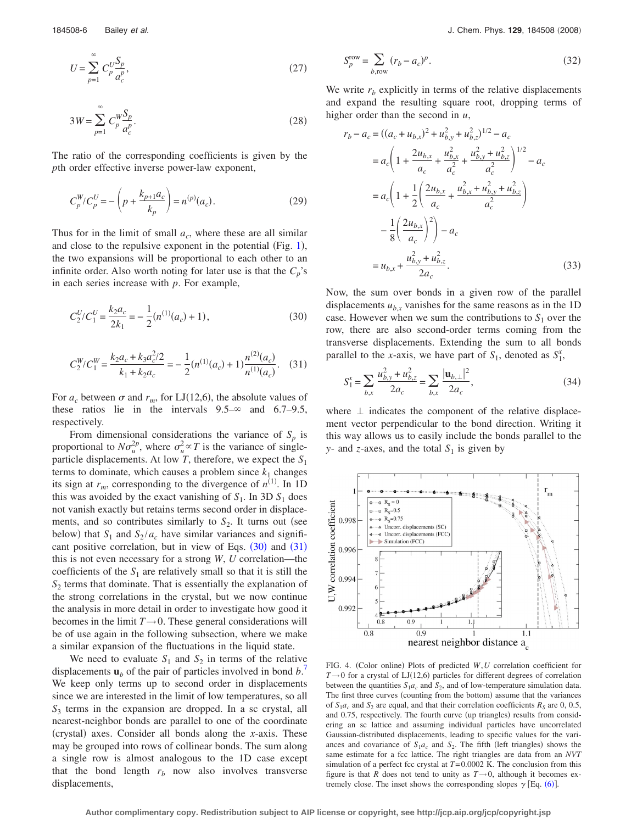$$
U = \sum_{p=1}^{\infty} C_p^U \frac{S_p}{a_c^p},
$$
\n(27)

$$
3W = \sum_{p=1}^{\infty} C_p^W \frac{S_p}{a_c^p}.
$$
 (28)

The ratio of the corresponding coefficients is given by the *p*th order effective inverse power-law exponent,

<span id="page-5-4"></span>
$$
C_p^W/C_p^U = -\left(p + \frac{k_{p+1}a_c}{k_p}\right) = n^{(p)}(a_c). \tag{29}
$$

Thus for in the limit of small  $a_c$ , where these are all similar and close to the repulsive exponent in the potential (Fig.  $1$ ), the two expansions will be proportional to each other to an infinite order. Also worth noting for later use is that the  $C_p$ 's in each series increase with *p*. For example,

<span id="page-5-0"></span>
$$
C_2^U/C_1^U = \frac{k_2 a_c}{2k_1} = -\frac{1}{2}(n^{(1)}(a_c) + 1),\tag{30}
$$

<span id="page-5-1"></span>
$$
C_2^W/C_1^W = \frac{k_2 a_c + k_3 a_c^2/2}{k_1 + k_2 a_c} = -\frac{1}{2} (n^{(1)}(a_c) + 1) \frac{n^{(2)}(a_c)}{n^{(1)}(a_c)}.
$$
 (31)

For  $a_c$  between  $\sigma$  and  $r_m$ , for LJ(12,6), the absolute values of these ratios lie in the intervals  $9.5-\infty$  and  $6.7-9.5$ , respectively.

From dimensional considerations the variance of  $S_p$  is proportional to  $N\sigma_u^{2p}$ , where  $\sigma_u^2 \propto T$  is the variance of singleparticle displacements. At low *T*, therefore, we expect the  $S_1$ terms to dominate, which causes a problem since  $k_1$  changes its sign at  $r_m$ , corresponding to the divergence of  $n^{(1)}$ . In 1D this was avoided by the exact vanishing of  $S_1$ . In 3D  $S_1$  does not vanish exactly but retains terms second order in displacements, and so contributes similarly to  $S_2$ . It turns out (see below) that  $S_1$  and  $S_2 / a_c$  have similar variances and significant positive correlation, but in view of Eqs.  $(30)$  $(30)$  $(30)$  and  $(31)$  $(31)$  $(31)$ this is not even necessary for a strong *W*, *U* correlation—the coefficients of the  $S_1$  are relatively small so that it is still the *S*<sup>2</sup> terms that dominate. That is essentially the explanation of the strong correlations in the crystal, but we now continue the analysis in more detail in order to investigate how good it becomes in the limit  $T \rightarrow 0$ . These general considerations will be of use again in the following subsection, where we make a similar expansion of the fluctuations in the liquid state.

We need to evaluate  $S_1$  and  $S_2$  in terms of the relative displacements  $\mathbf{u}_b$  of the pair of particles involved in bond  $b$ <sup>[7](#page-18-6)</sup> We keep only terms up to second order in displacements since we are interested in the limit of low temperatures, so all *S*<sup>3</sup> terms in the expansion are dropped. In a sc crystal, all nearest-neighbor bonds are parallel to one of the coordinate (crystal) axes. Consider all bonds along the *x*-axis. These may be grouped into rows of collinear bonds. The sum along a single row is almost analogous to the 1D case except that the bond length  $r_b$  now also involves transverse displacements,

$$
S_p^{\text{row}} = \sum_{b,\text{row}} (r_b - a_c)^p. \tag{32}
$$

We write  $r<sub>b</sub>$  explicitly in terms of the relative displacements and expand the resulting square root, dropping terms of higher order than the second in *u*,

<span id="page-5-2"></span>
$$
r_b - a_c = ((a_c + u_{b,x})^2 + u_{b,y}^2 + u_{b,z}^2)^{1/2} - a_c
$$
  
\n
$$
= a_c \left( 1 + \frac{2u_{b,x}}{a_c} + \frac{u_{b,x}^2}{a_c^2} + \frac{u_{b,y}^2 + u_{b,z}^2}{a_c^2} \right)^{1/2} - a_c
$$
  
\n
$$
= a_c \left( 1 + \frac{1}{2} \left( \frac{2u_{b,x}}{a_c} + \frac{u_{b,x}^2 + u_{b,y}^2 + u_{b,z}^2}{a_c^2} \right) - \frac{1}{8} \left( \frac{2u_{b,x}}{a_c} \right)^2 \right) - a_c
$$
  
\n
$$
= u_{b,x} + \frac{u_{b,y}^2 + u_{b,z}^2}{2a_c}.
$$
 (33)

Now, the sum over bonds in a given row of the parallel displacements  $u_{b,x}$  vanishes for the same reasons as in the 1D case. However when we sum the contributions to  $S_1$  over the row, there are also second-order terms coming from the transverse displacements. Extending the sum to all bonds parallel to the *x*-axis, we have part of  $S_1$ , denoted as  $S_1^x$ ,

$$
S_1^x = \sum_{b,x} \frac{u_{b,y}^2 + u_{b,z}^2}{2a_c} = \sum_{b,x} \frac{|\mathbf{u}_{b,\perp}|^2}{2a_c},\tag{34}
$$

where  $\perp$  indicates the component of the relative displacement vector perpendicular to the bond direction. Writing it this way allows us to easily include the bonds parallel to the *y*- and *z*-axes, and the total  $S_1$  is given by

<span id="page-5-3"></span>

FIG. 4. (Color online) Plots of predicted W, U correlation coefficient for  $T \rightarrow 0$  for a crystal of LJ(12,6) particles for different degrees of correlation between the quantities  $S_1a_c$  and  $S_2$ , and of low-temperature simulation data. The first three curves (counting from the bottom) assume that the variances of  $S_1a_c$  and  $S_2$  are equal, and that their correlation coefficients  $R_S$  are 0, 0.5, and 0.75, respectively. The fourth curve (up triangles) results from considering an sc lattice and assuming individual particles have uncorrelated Gaussian-distributed displacements, leading to specific values for the variances and covariance of  $S_1a_c$  and  $S_2$ . The fifth (left triangles) shows the same estimate for a fcc lattice. The right triangles are data from an *NVT* simulation of a perfect fcc crystal at  $T=0.0002$  K. The conclusion from this figure is that *R* does not tend to unity as  $T \rightarrow 0$ , although it becomes extremely close. The inset shows the corresponding slopes  $\gamma$  [Eq. ([6](#page-1-1))].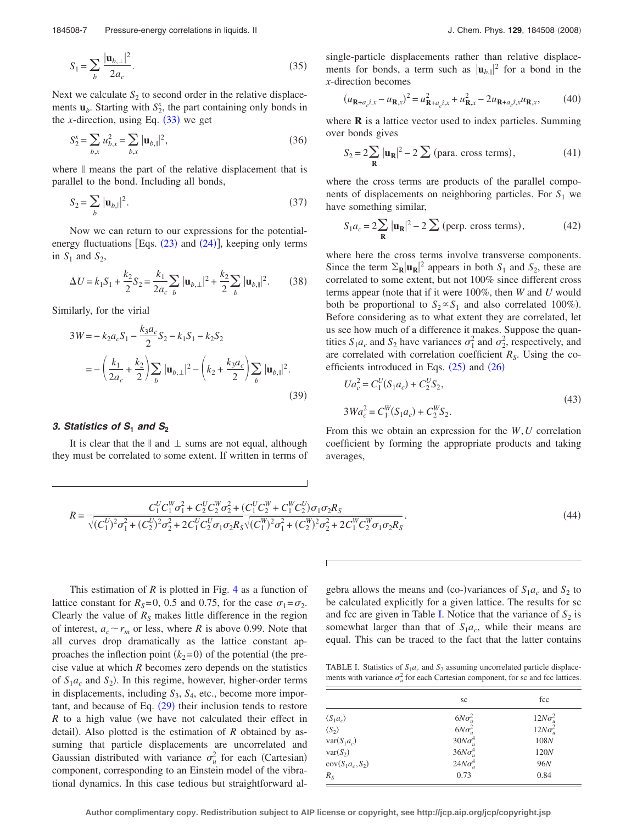<span id="page-6-2"></span>184508-7 Pressure-energy correlations in liquids. II J. Chem. Phys. **129**, 184508 2008

$$
S_1 = \sum_b \frac{|\mathbf{u}_{b,\perp}|^2}{2a_c}.
$$
 (35)

Next we calculate  $S_2$  to second order in the relative displacements  $\mathbf{u}_b$ . Starting with  $S_2^x$ , the part containing only bonds in the *x*-direction, using Eq.  $(33)$  $(33)$  $(33)$  we get

$$
S_2^x = \sum_{b,x} u_{b,x}^2 = \sum_{b,x} |\mathbf{u}_{b,y}|^2,
$$
 (36)

<span id="page-6-3"></span>where  $\parallel$  means the part of the relative displacement that is parallel to the bond. Including all bonds,

$$
S_2 = \sum_b |\mathbf{u}_{b,\parallel}|^2.
$$
 (37)

Now we can return to our expressions for the potentialenergy fluctuations [Eqs.  $(23)$  $(23)$  $(23)$  and  $(24)$  $(24)$  $(24)$ ], keeping only terms in  $S_1$  and  $S_2$ ,

$$
\Delta U = k_1 S_1 + \frac{k_2}{2} S_2 = \frac{k_1}{2a_c} \sum_b |\mathbf{u}_{b,\perp}|^2 + \frac{k_2}{2} \sum_b |\mathbf{u}_{b,\parallel}|^2. \tag{38}
$$

Similarly, for the virial

$$
3W = -k_2 a_c S_1 - \frac{k_3 a_c}{2} S_2 - k_1 S_1 - k_2 S_2
$$
  
= 
$$
- \left(\frac{k_1}{2a_c} + \frac{k_2}{2}\right) \sum_b |\mathbf{u}_{b,\perp}|^2 - \left(k_2 + \frac{k_3 a_c}{2}\right) \sum_b |\mathbf{u}_{b,\parallel}|^2.
$$
 (39)

## *3. Statistics of S***<sup>1</sup>** *and S***<sup>2</sup>**

It is clear that the  $\parallel$  and  $\perp$  sums are not equal, although they must be correlated to some extent. If written in terms of single-particle displacements rather than relative displacements for bonds, a term such as  $|\mathbf{u}_{b}}_{\text{in}}|^{2}$  for a bond in the *x*-direction becomes

$$
(u_{\mathbf{R} + a_c \hat{t}, x} - u_{\mathbf{R}, x})^2 = u_{\mathbf{R} + a_c \hat{t}, x}^2 + u_{\mathbf{R}, x}^2 - 2u_{\mathbf{R} + a_c \hat{t}, x} u_{\mathbf{R}, x},
$$
(40)

where **R** is a lattice vector used to index particles. Summing over bonds gives

$$
S_2 = 2\sum_{\mathbf{R}} |\mathbf{u}_{\mathbf{R}}|^2 - 2\sum (\text{para. cross terms}), \tag{41}
$$

where the cross terms are products of the parallel components of displacements on neighboring particles. For  $S_1$  we have something similar,

$$
S_1 a_c = 2 \sum_{\mathbf{R}} |\mathbf{u}_{\mathbf{R}}|^2 - 2 \sum (\text{perp. cross terms}), \tag{42}
$$

where here the cross terms involve transverse components. Since the term  $\Sigma_R |\mathbf{u}_R|^2$  appears in both  $S_1$  and  $S_2$ , these are correlated to some extent, but not 100% since different cross terms appear (note that if it were 100%, then *W* and *U* would both be proportional to  $S_2 \propto S_1$  and also correlated 100%). Before considering as to what extent they are correlated, let us see how much of a difference it makes. Suppose the quantities  $S_1 a_c$  and  $S_2$  have variances  $\sigma_1^2$  and  $\sigma_2^2$ , respectively, and are correlated with correlation coefficient  $R<sub>S</sub>$ . Using the coefficients introduced in Eqs.  $(25)$  $(25)$  $(25)$  and  $(26)$  $(26)$  $(26)$ 

$$
Ua_c^2 = C_1^U(S_1a_c) + C_2^U S_2,
$$
  
\n
$$
3Wa_c^2 = C_1^W(S_1a_c) + C_2^W S_2.
$$
\n(43)

From this we obtain an expression for the *W*,*U* correlation coefficient by forming the appropriate products and taking averages,

<span id="page-6-1"></span>
$$
R = \frac{C_1^U C_1^W \sigma_1^2 + C_2^U C_2^W \sigma_2^2 + (C_1^U C_2^W + C_1^W C_2^U) \sigma_1 \sigma_2 R_S}{\sqrt{(C_1^U)^2 \sigma_1^2 + (C_2^U)^2 \sigma_2^2 + 2C_1^U C_2^U \sigma_1 \sigma_2 R_S} \sqrt{(C_1^W)^2 \sigma_1^2 + (C_2^W)^2 \sigma_2^2 + 2C_1^W C_2^W \sigma_1 \sigma_2 R_S}}.
$$
\n
$$
(44)
$$

This estimation of *R* is plotted in Fig. [4](#page-5-3) as a function of lattice constant for  $R_s = 0$ , 0.5 and 0.75, for the case  $\sigma_1 = \sigma_2$ . Clearly the value of  $R<sub>S</sub>$  makes little difference in the region of interest,  $a_c \sim r_m$  or less, where *R* is above 0.99. Note that all curves drop dramatically as the lattice constant approaches the inflection point  $(k_2=0)$  of the potential (the precise value at which *R* becomes zero depends on the statistics of  $S_1a_c$  and  $S_2$ ). In this regime, however, higher-order terms in displacements, including  $S_3$ ,  $S_4$ , etc., become more important, and because of Eq.  $(29)$  $(29)$  $(29)$  their inclusion tends to restore *R* to a high value (we have not calculated their effect in detail). Also plotted is the estimation of  $R$  obtained by assuming that particle displacements are uncorrelated and Gaussian distributed with variance  $\sigma_u^2$  for each (Cartesian) component, corresponding to an Einstein model of the vibrational dynamics. In this case tedious but straightforward al-

gebra allows the means and (co-)variances of  $S_1 a_c$  and  $S_2$  to be calculated explicitly for a given lattice. The results for sc and fcc are given in Table [I.](#page-6-0) Notice that the variance of  $S_2$  is somewhat larger than that of  $S_1a_c$ , while their means are equal. This can be traced to the fact that the latter contains

<span id="page-6-0"></span>TABLE I. Statistics of  $S_1a_c$  and  $S_2$  assuming uncorrelated particle displacements with variance  $\sigma_u^2$  for each Cartesian component, for sc and fcc lattices.

|                           | sc              | fcc             |  |
|---------------------------|-----------------|-----------------|--|
| $\langle S_1 a_c \rangle$ | $6N\sigma_u^2$  | $12N\sigma_u^2$ |  |
| $\langle S_2 \rangle$     | $6N\sigma_u^2$  | $12N\sigma_u^2$ |  |
| $var(S_1a_c)$             | $30N\sigma_u^4$ | 108N            |  |
| $var(S_2)$                | $36N\sigma_u^4$ | 120N            |  |
| $cov(S_1a_c, S_2)$        | $24N\sigma_u^4$ | <b>96N</b>      |  |
| $R_{S}$                   | 0.73            | 0.84            |  |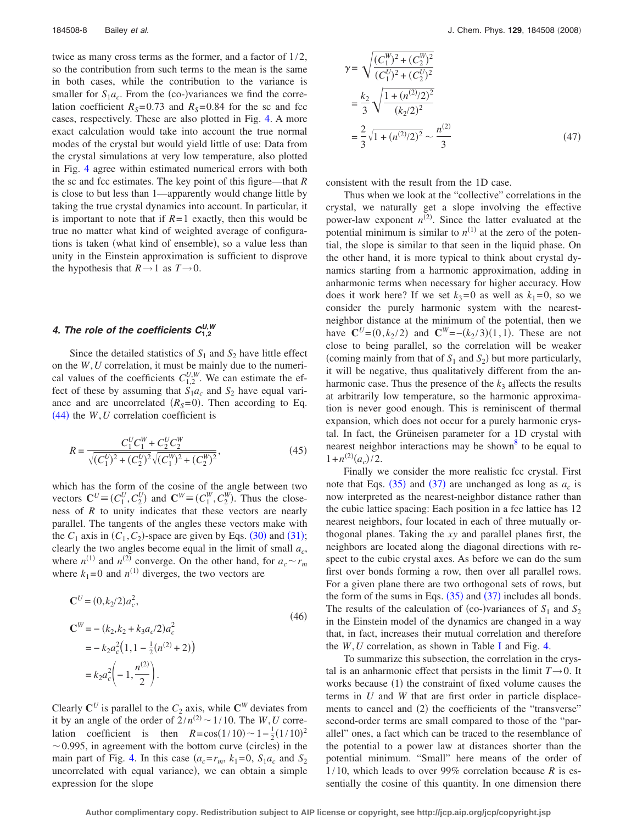twice as many cross terms as the former, and a factor of 1/2, so the contribution from such terms to the mean is the same in both cases, while the contribution to the variance is smaller for  $S_1a_c$ . From the (co-)variances we find the correlation coefficient  $R_S = 0.73$  and  $R_S = 0.84$  for the sc and fcc cases, respectively. These are also plotted in Fig. [4.](#page-5-3) A more exact calculation would take into account the true normal modes of the crystal but would yield little of use: Data from the crystal simulations at very low temperature, also plotted in Fig. [4](#page-5-3) agree within estimated numerical errors with both the sc and fcc estimates. The key point of this figure—that *R* is close to but less than 1—apparently would change little by taking the true crystal dynamics into account. In particular, it is important to note that if  $R=1$  exactly, then this would be true no matter what kind of weighted average of configurations is taken (what kind of ensemble), so a value less than unity in the Einstein approximation is sufficient to disprove the hypothesis that  $R \rightarrow 1$  as  $T \rightarrow 0$ .

## 4. The role of the coefficients  $C_{1,2}^{U,W}$

Since the detailed statistics of  $S_1$  and  $S_2$  have little effect on the *W*,*U* correlation, it must be mainly due to the numerical values of the coefficients  $C_{1,2}^{U,W}$ . We can estimate the effect of these by assuming that  $S_1a_c$  and  $S_2$  have equal variance and are uncorrelated  $(R<sub>S</sub>=0)$ . Then according to Eq.  $(44)$  $(44)$  $(44)$  the *W*, *U* correlation coefficient is

$$
R = \frac{C_1^U C_1^W + C_2^U C_2^W}{\sqrt{(C_1^U)^2 + (C_2^U)^2} \sqrt{(C_1^W)^2 + (C_2^W)^2}},
$$
\n(45)

which has the form of the cosine of the angle between two vectors  $\mathbf{C}^U = (C_1^U, C_2^U)$  and  $\mathbf{C}^W = (C_1^W, C_2^W)$ . Thus the closeness of *R* to unity indicates that these vectors are nearly parallel. The tangents of the angles these vectors make with the  $C_1$  axis in  $(C_1, C_2)$ -space are given by Eqs. ([30](#page-5-0)) and ([31](#page-5-1)); clearly the two angles become equal in the limit of small  $a_c$ , where  $n^{(1)}$  and  $n^{(2)}$  converge. On the other hand, for  $a_c \sim r_m$ where  $k_1 = 0$  and  $n^{(1)}$  diverges, the two vectors are

$$
\mathbf{C}^{U} = (0, k_{2}/2)a_{c}^{2},
$$
\n
$$
\mathbf{C}^{W} = -(k_{2}, k_{2} + k_{3}a_{c}/2)a_{c}^{2}
$$
\n
$$
= -k_{2}a_{c}^{2}(1, 1 - \frac{1}{2}(n^{(2)} + 2))
$$
\n
$$
= k_{2}a_{c}^{2}\left(-1, \frac{n^{(2)}}{2}\right).
$$
\n(46)

Clearly  $\mathbb{C}^U$  is parallel to the  $C_2$  axis, while  $\mathbb{C}^W$  deviates from it by an angle of the order of  $2/n^{(2)} \sim 1/10$ . The *W*, *U* correlation coefficient is then  $R = cos(1/10) \sim 1 - \frac{1}{2} (1/10)^2$  $\sim$  0.995, in agreement with the bottom curve (circles) in the main part of Fig. [4.](#page-5-3) In this case  $(a_c = r_m, k_1 = 0, S_1 a_c$  and  $S_2$ uncorrelated with equal variance), we can obtain a simple expression for the slope

$$
\gamma = \sqrt{\frac{(C_1^W)^2 + (C_2^W)^2}{(C_1^U)^2 + (C_2^U)^2}}
$$
  
=  $\frac{k_2}{3} \sqrt{\frac{1 + (n^{(2)}/2)^2}{(k_2/2)^2}}$   
=  $\frac{2}{3} \sqrt{1 + (n^{(2)}/2)^2} \sim \frac{n^{(2)}}{3}$  (47)

consistent with the result from the 1D case.

Thus when we look at the "collective" correlations in the crystal, we naturally get a slope involving the effective power-law exponent  $n^{(2)}$ . Since the latter evaluated at the potential minimum is similar to  $n^{(1)}$  at the zero of the potential, the slope is similar to that seen in the liquid phase. On the other hand, it is more typical to think about crystal dynamics starting from a harmonic approximation, adding in anharmonic terms when necessary for higher accuracy. How does it work here? If we set  $k_3=0$  as well as  $k_1=0$ , so we consider the purely harmonic system with the nearestneighbor distance at the minimum of the potential, then we have  $\mathbf{C}^{U} = (0, k_2 / 2)$  and  $\mathbf{C}^{W} = -(k_2 / 3)(1, 1)$ . These are not close to being parallel, so the correlation will be weaker (coming mainly from that of  $S_1$  and  $S_2$ ) but more particularly, it will be negative, thus qualitatively different from the anharmonic case. Thus the presence of the  $k_3$  affects the results at arbitrarily low temperature, so the harmonic approximation is never good enough. This is reminiscent of thermal expansion, which does not occur for a purely harmonic crystal. In fact, the Grüneisen parameter for a 1D crystal with nearest neighbor interactions may be shown<sup>8</sup> to be equal to  $1 + n^{(2)}(a_c) / 2.$ 

Finally we consider the more realistic fcc crystal. First note that Eqs.  $(35)$  $(35)$  $(35)$  and  $(37)$  $(37)$  $(37)$  are unchanged as long as  $a_c$  is now interpreted as the nearest-neighbor distance rather than the cubic lattice spacing: Each position in a fcc lattice has 12 nearest neighbors, four located in each of three mutually orthogonal planes. Taking the *xy* and parallel planes first, the neighbors are located along the diagonal directions with respect to the cubic crystal axes. As before we can do the sum first over bonds forming a row, then over all parallel rows. For a given plane there are two orthogonal sets of rows, but the form of the sums in Eqs.  $(35)$  $(35)$  $(35)$  and  $(37)$  $(37)$  $(37)$  includes all bonds. The results of the calculation of (co-)variances of  $S_1$  and  $S_2$ in the Einstein model of the dynamics are changed in a way that, in fact, increases their mutual correlation and therefore the *W*,*U* correlation, as shown in Table [I](#page-6-0) and Fig. [4.](#page-5-3)

To summarize this subsection, the correlation in the crystal is an anharmonic effect that persists in the limit  $T \rightarrow 0$ . It works because (1) the constraint of fixed volume causes the terms in *U* and *W* that are first order in particle displacements to cancel and (2) the coefficients of the "transverse" second-order terms are small compared to those of the "parallel" ones, a fact which can be traced to the resemblance of the potential to a power law at distances shorter than the potential minimum. "Small" here means of the order of 1/10, which leads to over 99% correlation because *R* is essentially the cosine of this quantity. In one dimension there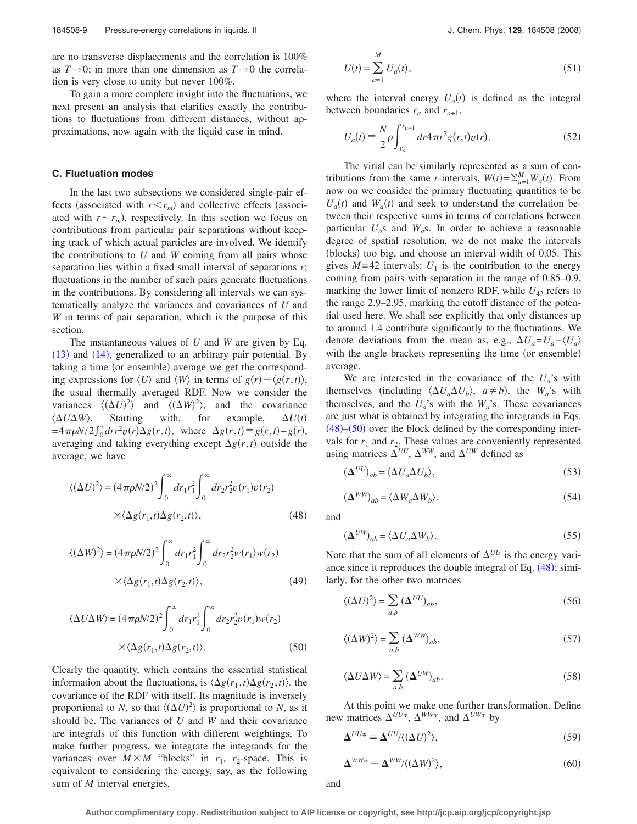are no transverse displacements and the correlation is 100% as  $T\rightarrow 0$ ; in more than one dimension as  $T\rightarrow 0$  the correlation is very close to unity but never 100%.

To gain a more complete insight into the fluctuations, we next present an analysis that clarifies exactly the contributions to fluctuations from different distances, without approximations, now again with the liquid case in mind.

#### **C. Fluctuation modes**

In the last two subsections we considered single-pair effects (associated with  $r \le r_m$ ) and collective effects (associated with  $r \sim r_m$ ), respectively. In this section we focus on contributions from particular pair separations without keeping track of which actual particles are involved. We identify the contributions to *U* and *W* coming from all pairs whose separation lies within a fixed small interval of separations *r*; fluctuations in the number of such pairs generate fluctuations in the contributions. By considering all intervals we can systematically analyze the variances and covariances of *U* and *W* in terms of pair separation, which is the purpose of this section.

The instantaneous values of *U* and *W* are given by Eq. ([13](#page-3-1)) and ([14](#page-3-2)), generalized to an arbitrary pair potential. By taking a time (or ensemble) average we get the corresponding expressions for  $\langle U \rangle$  and  $\langle W \rangle$  in terms of  $g(r) \equiv \langle g(r,t) \rangle$ , the usual thermally averaged RDF. Now we consider the variances  $\langle (\Delta U)^2 \rangle$  and  $\langle (\Delta W)^2 \rangle$ , and the covariance  $\langle \Delta U \Delta$ Starting with, for example,  $U(t)$  $= 4\pi\rho N/2 \int_0^\infty dr r^2 v(r) \Delta g(r, t)$ , where  $\Delta g(r, t) = g(r, t) - g(r)$ , averaging and taking everything except  $\Delta g(r, t)$  outside the average, we have

<span id="page-8-0"></span>
$$
\langle (\Delta U)^2 \rangle = (4\pi \rho N/2)^2 \int_0^\infty dr_1 r_1^2 \int_0^\infty dr_2 r_2^2 v(r_1) v(r_2)
$$
  
 
$$
\times \langle \Delta g(r_1, t) \Delta g(r_2, t) \rangle, \tag{48}
$$

$$
\langle (\Delta W)^2 \rangle = (4\pi \rho N/2)^2 \int_0^\infty dr_1 r_1^2 \int_0^\infty dr_2 r_2^2 w(r_1) w(r_2)
$$
  
 
$$
\times \langle \Delta g(r_1, t) \Delta g(r_2, t) \rangle, \tag{49}
$$

<span id="page-8-1"></span>
$$
\langle \Delta U \Delta W \rangle = (4 \pi \rho N/2)^2 \int_0^\infty dr_1 r_1^2 \int_0^\infty dr_2 r_2^2 v(r_1) w(r_2)
$$
  
 
$$
\times \langle \Delta g(r_1, t) \Delta g(r_2, t) \rangle.
$$
 (50)

Clearly the quantity, which contains the essential statistical information about the fluctuations, is  $\langle \Delta g(r_1, t) \Delta g(r_2, t) \rangle$ , the covariance of the RDF with itself. Its magnitude is inversely proportional to *N*, so that  $\langle (\Delta U)^2 \rangle$  is proportional to *N*, as it should be. The variances of *U* and *W* and their covariance are integrals of this function with different weightings. To make further progress, we integrate the integrands for the variances over  $M \times M$  "blocks" in  $r_1$ ,  $r_2$ -space. This is equivalent to considering the energy, say, as the following sum of *M* interval energies,

$$
U(t) = \sum_{a=1}^{M} U_a(t),
$$
\n(51)

where the interval energy  $U_a(t)$  is defined as the integral between boundaries  $r_a$  and  $r_{a+1}$ ,

$$
U_a(t) = \frac{N}{2} \rho \int_{r_a}^{r_{a+1}} dr 4\pi r^2 g(r,t) v(r).
$$
 (52)

The virial can be similarly represented as a sum of contributions from the same *r*-intervals,  $W(t) = \sum_{a=1}^{M} W_a(t)$ . From now on we consider the primary fluctuating quantities to be  $U_a(t)$  and  $W_a(t)$  and seek to understand the correlation between their respective sums in terms of correlations between particular  $U_a$ s and  $W_a$ s. In order to achieve a reasonable degree of spatial resolution, we do not make the intervals (blocks) too big, and choose an interval width of 0.05. This gives  $M=42$  intervals:  $U_1$  is the contribution to the energy coming from pairs with separation in the range of 0.85–0.9, marking the lower limit of nonzero RDF, while  $U_{42}$  refers to the range 2.9–2.95, marking the cutoff distance of the potential used here. We shall see explicitly that only distances up to around 1.4 contribute significantly to the fluctuations. We denote deviations from the mean as, e.g.,  $\Delta U_a = U_a - \langle U_a \rangle$ with the angle brackets representing the time (or ensemble) average.

We are interested in the covariance of the  $U_a$ 's with themselves (including  $\langle \Delta U_a \Delta U_b \rangle$ ,  $a \neq b$ ), the *W<sub>a</sub>*'s with themselves, and the  $U_a$ 's with the  $W_a$ 's. These covariances are just what is obtained by integrating the integrands in Eqs.  $(48)$  $(48)$  $(48)$ - $(50)$  $(50)$  $(50)$  over the block defined by the corresponding intervals for  $r_1$  and  $r_2$ . These values are conveniently represented using matrices  $\Delta^{UU}$ ,  $\Delta^{WW}$ , and  $\Delta^{UW}$  defined as

$$
(\mathbf{\Delta}^{UU})_{ab} = \langle \Delta U_a \Delta U_b \rangle,\tag{53}
$$

$$
(\mathbf{\Delta}^{WW})_{ab} = \langle \Delta W_a \Delta W_b \rangle,\tag{54}
$$

and

$$
(\Delta^{UW})_{ab} = \langle \Delta U_a \Delta W_b \rangle.
$$
\n(55)

Note that the sum of all elements of  $\Delta^{UU}$  is the energy variance since it reproduces the double integral of Eq.  $(48)$  $(48)$  $(48)$ ; similarly, for the other two matrices

$$
\langle (\Delta U)^2 \rangle = \sum_{a,b} (\Delta^{UU})_{ab},\tag{56}
$$

$$
\langle (\Delta W)^2 \rangle = \sum_{a,b} (\Delta^{WW})_{ab},\tag{57}
$$

$$
\langle \Delta U \Delta W \rangle = \sum_{a,b} \left( \Delta^{UW} \right)_{ab}.
$$
 (58)

At this point we make one further transformation. Define new matrices  $\Delta^{UU*}$ ,  $\Delta^{WW*}$ , and  $\Delta^{UW*}$  by

$$
\Delta^{UU*} \equiv \Delta^{UU} / \langle (\Delta U)^2 \rangle, \tag{59}
$$

$$
\Delta^{WW*} = \Delta^{WW} / \langle (\Delta W)^2 \rangle, \tag{60}
$$

and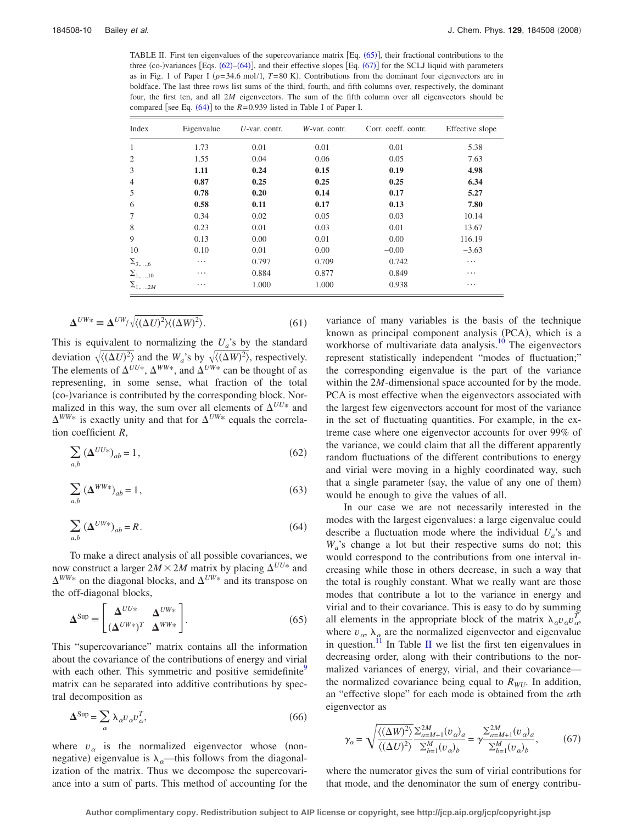<span id="page-9-0"></span>TABLE II. First ten eigenvalues of the supercovariance matrix [Eq. ([65](#page-9-1))], their fractional contributions to the three (co-)variances [Eqs.  $(62)$  $(62)$  $(62)$ – $(64)$  $(64)$  $(64)$ ], and their effective slopes [Eq.  $(67)$  $(67)$  $(67)$ ] for the SCLJ liquid with parameters as in Fig. 1 of Paper I  $(\rho = 34.6 \text{ mol}/1, T = 80 \text{ K})$ . Contributions from the dominant four eigenvectors are in boldface. The last three rows list sums of the third, fourth, and fifth columns over, respectively, the dominant four, the first ten, and all 2*M* eigenvectors. The sum of the fifth column over all eigenvectors should be compared [see Eq.  $(64)$  $(64)$  $(64)$ ] to the  $R = 0.939$  listed in Table I of Paper I.

| Index                  | Eigenvalue | $U$ -var. contr. | W-var. contr. | Corr. coeff. contr. | Effective slope |
|------------------------|------------|------------------|---------------|---------------------|-----------------|
| $\mathbf{1}$           | 1.73       | 0.01             | 0.01          | 0.01                | 5.38            |
| $\overline{c}$         | 1.55       | 0.04             | 0.06          | 0.05                | 7.63            |
| 3                      | 1.11       | 0.24             | 0.15          | 0.19                | 4.98            |
| 4                      | 0.87       | 0.25             | 0.25          | 0.25                | 6.34            |
| 5                      | 0.78       | 0.20             | 0.14          | 0.17                | 5.27            |
| 6                      | 0.58       | 0.11             | 0.17          | 0.13                | 7.80            |
| 7                      | 0.34       | 0.02             | 0.05          | 0.03                | 10.14           |
| 8                      | 0.23       | 0.01             | 0.03          | 0.01                | 13.67           |
| 9                      | 0.13       | 0.00             | 0.01          | 0.00                | 116.19          |
| 10                     | 0.10       | 0.01             | 0.00          | $-0.00$             | $-3.63$         |
| $\Sigma_{3,\ldots,6}$  | .          | 0.797            | 0.709         | 0.742               | .               |
| $\Sigma_{1,\ldots,10}$ | $\cdots$   | 0.884            | 0.877         | 0.849               | $\cdots$        |
| $\Sigma_{1,\ldots,2M}$ | .          | 1.000            | 1.000         | 0.938               | .               |

$$
\Delta^{UW*} \equiv \Delta^{UW} / \sqrt{\langle (\Delta U)^2 \rangle (\langle \Delta W \rangle^2)}.
$$
\n(61)

This is equivalent to normalizing the  $U_a$ 's by the standard deviation  $\sqrt{\langle (\Delta U)^2 \rangle}$  and the  $W_a$ 's by  $\sqrt{\langle (\Delta W)^2 \rangle}$ , respectively. The elements of  $\Delta^{UU*}$ ,  $\Delta^{WW*}$ , and  $\Delta^{UW*}$  can be thought of as representing, in some sense, what fraction of the total co--variance is contributed by the corresponding block. Normalized in this way, the sum over all elements of  $\Delta^{UU*}$  and  $\Delta^{WW*}$  is exactly unity and that for  $\Delta^{UW*}$  equals the correlation coefficient *R*,

<span id="page-9-2"></span>
$$
\sum_{a,b} \left(\Delta^{UU*}\right)_{ab} = 1,\tag{62}
$$

<span id="page-9-5"></span>
$$
\sum_{a,b} \left(\Delta^{WW*}\right)_{ab} = 1,\tag{63}
$$

<span id="page-9-3"></span>
$$
\sum_{a,b} \left(\Delta^{UW*}\right)_{ab} = R. \tag{64}
$$

To make a direct analysis of all possible covariances, we now construct a larger  $2M \times 2M$  matrix by placing  $\Delta^{UU*}$  and  $\Delta^{WW*}$  on the diagonal blocks, and  $\Delta^{UW*}$  and its transpose on the off-diagonal blocks,

<span id="page-9-1"></span>
$$
\mathbf{\Delta}^{\text{Sup}} = \begin{bmatrix} \mathbf{\Delta}^{UU*} & \mathbf{\Delta}^{UW*} \\ (\mathbf{\Delta}^{UW*})^T & \mathbf{\Delta}^{WW*} \end{bmatrix} . \tag{65}
$$

This "supercovariance" matrix contains all the information about the covariance of the contributions of energy and virial with each other. This symmetric and positive semidefinite<sup>9</sup> matrix can be separated into additive contributions by spectral decomposition as

<span id="page-9-6"></span>
$$
\Delta^{\text{Sup}} = \sum_{\alpha} \lambda_{\alpha} v_{\alpha} v_{\alpha}^T,\tag{66}
$$

where  $v_{\alpha}$  is the normalized eigenvector whose (nonnegative) eigenvalue is  $\lambda_{\alpha}$ —this follows from the diagonalization of the matrix. Thus we decompose the supercovariance into a sum of parts. This method of accounting for the variance of many variables is the basis of the technique known as principal component analysis (PCA), which is a workhorse of multivariate data analysis. $\frac{10}{10}$  The eigenvectors represent statistically independent "modes of fluctuation;" the corresponding eigenvalue is the part of the variance within the 2*M*-dimensional space accounted for by the mode. PCA is most effective when the eigenvectors associated with the largest few eigenvectors account for most of the variance in the set of fluctuating quantities. For example, in the extreme case where one eigenvector accounts for over 99% of the variance, we could claim that all the different apparently random fluctuations of the different contributions to energy and virial were moving in a highly coordinated way, such that a single parameter (say, the value of any one of them) would be enough to give the values of all.

In our case we are not necessarily interested in the modes with the largest eigenvalues: a large eigenvalue could describe a fluctuation mode where the individual  $U_a$ 's and *Wa*'s change a lot but their respective sums do not; this would correspond to the contributions from one interval increasing while those in others decrease, in such a way that the total is roughly constant. What we really want are those modes that contribute a lot to the variance in energy and virial and to their covariance. This is easy to do by summing all elements in the appropriate block of the matrix  $\lambda_a v_a v_a^T$ where  $v_{\alpha}$ ,  $\lambda_{\alpha}$  are the normalized eigenvector and eigenvalue in question.<sup>11</sup> In Table [II](#page-9-0) we list the first ten eigenvalues in decreasing order, along with their contributions to the normalized variances of energy, virial, and their covariance the normalized covariance being equal to  $R_{WU}$ . In addition, an "effective slope" for each mode is obtained from the  $\alpha$ th eigenvector as

<span id="page-9-4"></span>
$$
\gamma_{\alpha} = \sqrt{\frac{\langle (\Delta W)^2 \rangle}{\langle (\Delta U)^2 \rangle}} \frac{\sum_{a=M+1}^{2M} (v_{\alpha})_a}{\sum_{b=1}^{M} (v_{\alpha})_b} = \gamma \frac{\sum_{a=M+1}^{2M} (v_{\alpha})_a}{\sum_{b=1}^{M} (v_{\alpha})_b},
$$
(67)

where the numerator gives the sum of virial contributions for that mode, and the denominator the sum of energy contribu-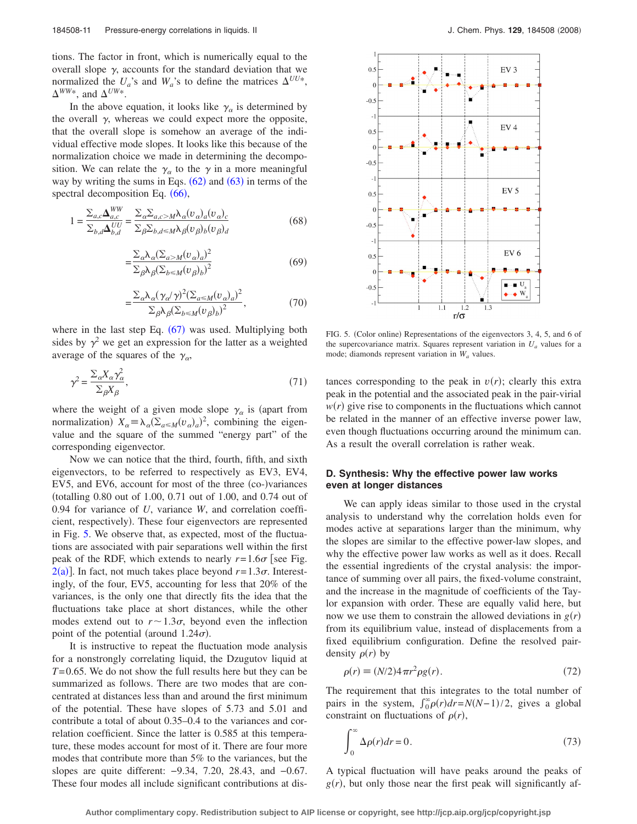tions. The factor in front, which is numerically equal to the overall slope  $\gamma$ , accounts for the standard deviation that we normalized the  $U_a$ 's and  $W_a$ 's to define the matrices  $\Delta^{UU*}$ ,  $\Delta^{WW*}$ , and  $\Delta^{UW*}$ .

In the above equation, it looks like  $\gamma_\alpha$  is determined by the overall  $\gamma$ , whereas we could expect more the opposite, that the overall slope is somehow an average of the individual effective mode slopes. It looks like this because of the normalization choice we made in determining the decomposition. We can relate the  $\gamma_\alpha$  to the  $\gamma$  in a more meaningful way by writing the sums in Eqs.  $(62)$  $(62)$  $(62)$  and  $(63)$  $(63)$  $(63)$  in terms of the spectral decomposition Eq. ([66](#page-9-6)),

$$
1 = \frac{\sum_{a,c} \Delta_{a,c}^{WW}}{\sum_{b,d} \Delta_{b,d}^{UU}} = \frac{\sum_{\alpha} \sum_{a,c > M} \lambda_{\alpha} (v_{\alpha})_{a} (v_{\alpha})_{c}}{\sum_{\beta} \sum_{b,d \le M} \lambda_{\beta} (v_{\beta})_{b} (v_{\beta})_{d}}
$$
(68)

$$
=\frac{\sum_{\alpha} \lambda_{\alpha} (\sum_{a > M} (v_{\alpha})_a)^2}{\sum_{\beta} \lambda_{\beta} (\sum_{b \le M} (v_{\beta})_b)^2}
$$
(69)

$$
=\frac{\sum_{\alpha} \lambda_{\alpha} (\gamma_{\alpha}/\gamma)^{2} (\sum_{a \le M} (v_{\alpha})_{a})^{2}}{\sum_{\beta} \lambda_{\beta} (\sum_{b \le M} (v_{\beta})_{b})^{2}},
$$
\n(70)

where in the last step Eq.  $(67)$  $(67)$  $(67)$  was used. Multiplying both sides by  $\gamma^2$  we get an expression for the latter as a weighted average of the squares of the  $\gamma_{\alpha}$ ,

=

$$
\gamma^2 = \frac{\sum_{\alpha} X_{\alpha} \gamma_{\alpha}^2}{\sum_{\beta} X_{\beta}},\tag{71}
$$

where the weight of a given mode slope  $\gamma_\alpha$  is (apart from normalization)  $X_{\alpha} \equiv \lambda_{\alpha} (\Sigma_{a \le M}(v_{\alpha})_a)^2$ , combining the eigenvalue and the square of the summed "energy part" of the corresponding eigenvector.

Now we can notice that the third, fourth, fifth, and sixth eigenvectors, to be referred to respectively as EV3, EV4, EV5, and EV6, account for most of the three (co-)variances totalling 0.80 out of 1.00, 0.71 out of 1.00, and 0.74 out of 0.94 for variance of *U*, variance *W*, and correlation coefficient, respectively). These four eigenvectors are represented in Fig. [5.](#page-10-0) We observe that, as expected, most of the fluctuations are associated with pair separations well within the first peak of the RDF, which extends to nearly  $r=1.6\sigma$  [see Fig.  $2(a)$  $2(a)$ ]. In fact, not much takes place beyond  $r=1.3\sigma$ . Interestingly, of the four, EV5, accounting for less that 20% of the variances, is the only one that directly fits the idea that the fluctuations take place at short distances, while the other modes extend out to  $r \sim 1.3\sigma$ , beyond even the inflection point of the potential (around  $1.24\sigma$ ).

It is instructive to repeat the fluctuation mode analysis for a nonstrongly correlating liquid, the Dzugutov liquid at *T*= 0.65. We do not show the full results here but they can be summarized as follows. There are two modes that are concentrated at distances less than and around the first minimum of the potential. These have slopes of 5.73 and 5.01 and contribute a total of about 0.35–0.4 to the variances and correlation coefficient. Since the latter is 0.585 at this temperature, these modes account for most of it. There are four more modes that contribute more than 5% to the variances, but the slopes are quite different: −9.34, 7.20, 28.43, and −0.67. These four modes all include significant contributions at dis-

<span id="page-10-0"></span>

FIG. 5. (Color online) Representations of the eigenvectors 3, 4, 5, and 6 of the supercovariance matrix. Squares represent variation in  $U_a$  values for a mode; diamonds represent variation in  $W_a$  values.

tances corresponding to the peak in  $v(r)$ ; clearly this extra peak in the potential and the associated peak in the pair-virial  $w(r)$  give rise to components in the fluctuations which cannot be related in the manner of an effective inverse power law, even though fluctuations occurring around the minimum can. As a result the overall correlation is rather weak.

### **D. Synthesis: Why the effective power law works even at longer distances**

We can apply ideas similar to those used in the crystal analysis to understand why the correlation holds even for modes active at separations larger than the minimum, why the slopes are similar to the effective power-law slopes, and why the effective power law works as well as it does. Recall the essential ingredients of the crystal analysis: the importance of summing over all pairs, the fixed-volume constraint, and the increase in the magnitude of coefficients of the Taylor expansion with order. These are equally valid here, but now we use them to constrain the allowed deviations in  $g(r)$ from its equilibrium value, instead of displacements from a fixed equilibrium configuration. Define the resolved pairdensity  $\rho(r)$  by

$$
\rho(r) \equiv (N/2)4\pi r^2 \rho g(r). \tag{72}
$$

<span id="page-10-2"></span>The requirement that this integrates to the total number of pairs in the system,  $\int_0^{\infty} \rho(r) dr = N(N-1)/2$ , gives a global constraint on fluctuations of  $\rho(r)$ ,

<span id="page-10-1"></span>
$$
\int_0^\infty \Delta \rho(r) dr = 0. \tag{73}
$$

A typical fluctuation will have peaks around the peaks of  $g(r)$ , but only those near the first peak will significantly af-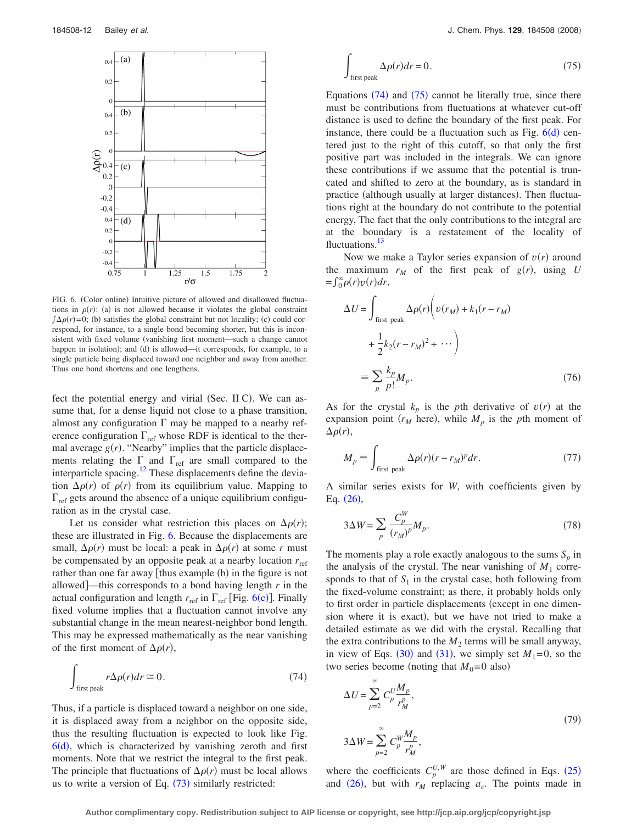<span id="page-11-0"></span>

FIG. 6. (Color online) Intuitive picture of allowed and disallowed fluctuations in  $\rho(r)$ : (a) is not allowed because it violates the global constraint  $\int \Delta \rho(r) = 0$ ; (b) satisfies the global constraint but not locality; (c) could correspond, for instance, to a single bond becoming shorter, but this is inconsistent with fixed volume (vanishing first moment—such a change cannot happen in isolation); and (d) is allowed—it corresponds, for example, to a single particle being displaced toward one neighbor and away from another. Thus one bond shortens and one lengthens.

fect the potential energy and virial (Sec. II C). We can assume that, for a dense liquid not close to a phase transition, almost any configuration  $\Gamma$  may be mapped to a nearby reference configuration  $\Gamma_{\text{ref}}$  whose RDF is identical to the thermal average  $g(r)$ . "Nearby" implies that the particle displacements relating the  $\Gamma$  and  $\Gamma_{ref}$  are small compared to the interparticle spacing.<sup>12</sup> These displacements define the deviation  $\Delta \rho(r)$  of  $\rho(r)$  from its equilibrium value. Mapping to  $\Gamma_{\text{ref}}$  gets around the absence of a unique equilibrium configuration as in the crystal case.

Let us consider what restriction this places on  $\Delta \rho(r)$ ; these are illustrated in Fig. [6.](#page-11-0) Because the displacements are small,  $\Delta \rho(r)$  must be local: a peak in  $\Delta \rho(r)$  at some *r* must be compensated by an opposite peak at a nearby location  $r_{ref}$ rather than one far away [thus example (b) in the figure is not allowed]—this corresponds to a bond having length  $r$  in the actual configuration and length  $r_{ref}$  in  $\Gamma_{ref}$  [Fig. [6](#page-11-0)(c)]. Finally fixed volume implies that a fluctuation cannot involve any substantial change in the mean nearest-neighbor bond length. This may be expressed mathematically as the near vanishing of the first moment of  $\Delta \rho(r)$ ,

<span id="page-11-1"></span>
$$
\int_{\text{first peak}} r \Delta \rho(r) dr \cong 0. \tag{74}
$$

Thus, if a particle is displaced toward a neighbor on one side, it is displaced away from a neighbor on the opposite side, thus the resulting fluctuation is expected to look like Fig.  $6(d)$  $6(d)$ , which is characterized by vanishing zeroth and first moments. Note that we restrict the integral to the first peak. The principle that fluctuations of  $\Delta \rho(r)$  must be local allows us to write a version of Eq.  $(73)$  $(73)$  $(73)$  similarly restricted:

<span id="page-11-2"></span>
$$
\int_{\text{first peak}} \Delta \rho(r) dr = 0. \tag{75}
$$

Equations  $(74)$  $(74)$  $(74)$  and  $(75)$  $(75)$  $(75)$  cannot be literally true, since there must be contributions from fluctuations at whatever cut-off distance is used to define the boundary of the first peak. For instance, there could be a fluctuation such as Fig.  $6(d)$  $6(d)$  centered just to the right of this cutoff, so that only the first positive part was included in the integrals. We can ignore these contributions if we assume that the potential is truncated and shifted to zero at the boundary, as is standard in practice (although usually at larger distances). Then fluctuations right at the boundary do not contribute to the potential energy, The fact that the only contributions to the integral are at the boundary is a restatement of the locality of fluctuations.<sup>13</sup>

Now we make a Taylor series expansion of  $v(r)$  around the maximum  $r_M$  of the first peak of  $g(r)$ , using U  $=\int_0^\infty \rho(r)v(r)dr,$ 

$$
\Delta U = \int_{\text{first peak}} \Delta \rho(r) \left( v(r_M) + k_1(r - r_M) \right)
$$

$$
+ \frac{1}{2} k_2 (r - r_M)^2 + \cdots \right)
$$

$$
= \sum_p \frac{k_p}{p!} M_p. \tag{76}
$$

As for the crystal  $k_p$  is the *p*th derivative of  $v(r)$  at the expansion point  $(r_M$  here), while  $M_p$  is the *p*th moment of  $\Delta \rho(r)$ ,

$$
M_p \equiv \int_{\text{first peak}} \Delta \rho(r)(r - r_M)^p dr. \tag{77}
$$

A similar series exists for *W*, with coefficients given by Eq.  $(26)$  $(26)$  $(26)$ ,

$$
3\Delta W = \sum_{p} \frac{C_p^W}{(r_M)^p} M_p. \tag{78}
$$

The moments play a role exactly analogous to the sums  $S_p$  in the analysis of the crystal. The near vanishing of  $M_1$  corresponds to that of  $S_1$  in the crystal case, both following from the fixed-volume constraint; as there, it probably holds only to first order in particle displacements (except in one dimension where it is exact), but we have not tried to make a detailed estimate as we did with the crystal. Recalling that the extra contributions to the  $M_2$  terms will be small anyway, in view of Eqs. ([30](#page-5-0)) and ([31](#page-5-1)), we simply set  $M_1=0$ , so the two series become (noting that  $M_0=0$  also)

$$
\Delta U = \sum_{p=2}^{\infty} C_p^U \frac{M_p}{r_M^p},
$$
  

$$
3\Delta W = \sum_{p=2}^{\infty} C_p^W \frac{M_p}{r_M^p},
$$
 (79)

where the coefficients  $C_p^{U,W}$  are those defined in Eqs. ([25](#page-4-5)) and ([26](#page-4-6)), but with  $r_M$  replacing  $a_c$ . The points made in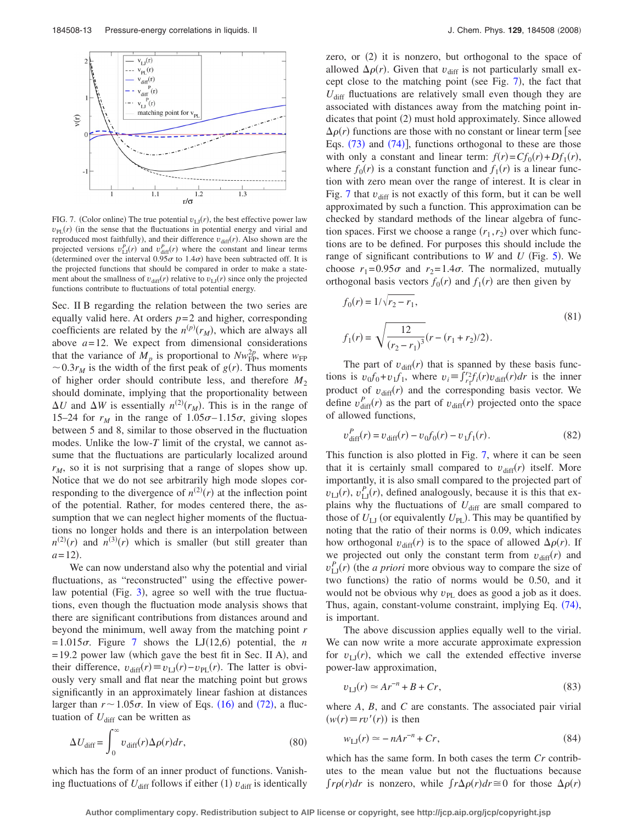<span id="page-12-0"></span>

FIG. 7. (Color online) The true potential  $v_{\text{LJ}}(r)$ , the best effective power law  $v_{PL}(r)$  (in the sense that the fluctuations in potential energy and virial and reproduced most faithfully), and their difference  $v_{\text{diff}}(r)$ . Also shown are the projected versions  $v_{\text{LI}}^P(r)$  and  $v_{\text{diff}}^P(r)$  where the constant and linear terms (determined over the interval  $0.95\sigma$  to  $1.4\sigma$ ) have been subtracted off. It is the projected functions that should be compared in order to make a statement about the smallness of  $v_{\text{diff}}(r)$  relative to  $v_{\text{LJ}}(r)$  since only the projected functions contribute to fluctuations of total potential energy.

Sec. II B regarding the relation between the two series are equally valid here. At orders  $p=2$  and higher, corresponding coefficients are related by the  $n^{(p)}(r_M)$ , which are always all above  $a = 12$ . We expect from dimensional considerations that the variance of  $\overline{M}_p$  is proportional to  $N w_{\text{FP}}^2$ , where  $w_{\text{FP}}$  $\sim 0.3r_M$  is the width of the first peak of  $g(r)$ . Thus moments of higher order should contribute less, and therefore  $M_2$ should dominate, implying that the proportionality between  $\Delta U$  and  $\Delta W$  is essentially  $n^{(2)}(r_M)$ . This is in the range of 15–24 for  $r_M$  in the range of  $1.05\sigma$ –1.15 $\sigma$ , giving slopes between 5 and 8, similar to those observed in the fluctuation modes. Unlike the low-*T* limit of the crystal, we cannot assume that the fluctuations are particularly localized around *rM*, so it is not surprising that a range of slopes show up. Notice that we do not see arbitrarily high mode slopes corresponding to the divergence of  $n^{(2)}(r)$  at the inflection point of the potential. Rather, for modes centered there, the assumption that we can neglect higher moments of the fluctuations no longer holds and there is an interpolation between  $n^{(2)}(r)$  and  $n^{(3)}(r)$  which is smaller (but still greater than  $a = 12$ .

We can now understand also why the potential and virial fluctuations, as "reconstructed" using the effective power-law potential (Fig. [3](#page-3-0)), agree so well with the true fluctuations, even though the fluctuation mode analysis shows that there are significant contributions from distances around and beyond the minimum, well away from the matching point *r*  $= 1.015\sigma$ . Figure [7](#page-12-0) shows the LJ(12,6) potential, the *n*  $= 19.2$  power law (which gave the best fit in Sec. II A), and their difference,  $v_{\text{diff}}(r) \equiv v_{\text{LJ}}(r) - v_{\text{PL}}(r)$ . The latter is obviously very small and flat near the matching point but grows significantly in an approximately linear fashion at distances larger than  $r \sim 1.05\sigma$ . In view of Eqs. ([16](#page-3-3)) and ([72](#page-10-2)), a fluctuation of  $U_{\text{diff}}$  can be written as

$$
\Delta U_{\text{diff}} = \int_0^\infty v_{\text{diff}}(r) \Delta \rho(r) dr,\tag{80}
$$

which has the form of an inner product of functions. Vanishing fluctuations of  $U_{\text{diff}}$  follows if either (1)  $v_{\text{diff}}$  is identically

zero, or (2) it is nonzero, but orthogonal to the space of allowed  $\Delta \rho(r)$ . Given that  $v_{\text{diff}}$  is not particularly small except close to the matching point (see Fig.  $7$ ), the fact that  $U_{\text{diff}}$  fluctuations are relatively small even though they are associated with distances away from the matching point indicates that point (2) must hold approximately. Since allowed  $\Delta \rho(r)$  functions are those with no constant or linear term [see Eqs.  $(73)$  $(73)$  $(73)$  and  $(74)$  $(74)$  $(74)$ ], functions orthogonal to these are those with only a constant and linear term:  $f(r) = Cf_0(r) + Df_1(r)$ , where  $f_0(r)$  is a constant function and  $f_1(r)$  is a linear function with zero mean over the range of interest. It is clear in Fig. [7](#page-12-0) that  $v_{\text{diff}}$  is not exactly of this form, but it can be well approximated by such a function. This approximation can be checked by standard methods of the linear algebra of function spaces. First we choose a range  $(r_1, r_2)$  over which functions are to be defined. For purposes this should include the range of significant contributions to  $W$  and  $U$  (Fig. [5](#page-10-0)). We choose  $r_1 = 0.95\sigma$  and  $r_2 = 1.4\sigma$ . The normalized, mutually orthogonal basis vectors  $f_0(r)$  and  $f_1(r)$  are then given by

$$
f_0(r) = 1/\sqrt{r_2 - r_1},
$$
  
\n
$$
f_1(r) = \sqrt{\frac{12}{(r_2 - r_1)^3}}(r - (r_1 + r_2)/2).
$$
\n(81)

The part of  $v_{\text{diff}}(r)$  that is spanned by these basis functions is  $v_0 f_0 + v_1 f_1$ , where  $v_i = \int_{r_1}^{r_2} f_i(r) v_{\text{diff}}(r) dr$  is the inner product of  $v_{\text{diff}}(r)$  and the corresponding basis vector. We define  $v_{\text{diff}}^P(r)$  as the part of  $v_{\text{diff}}(r)$  projected onto the space of allowed functions,

$$
v_{\text{diff}}^P(r) = v_{\text{diff}}(r) - v_0 f_0(r) - v_1 f_1(r). \tag{82}
$$

This function is also plotted in Fig. [7,](#page-12-0) where it can be seen that it is certainly small compared to  $v_{\text{diff}}(r)$  itself. More importantly, it is also small compared to the projected part of  $v_{\text{LJ}}(r)$ ,  $v_{\text{LJ}}^P(r)$ , defined analogously, because it is this that explains why the fluctuations of  $U_{\text{diff}}$  are small compared to those of  $U_{\text{LJ}}$  (or equivalently  $U_{\text{PL}}$ ). This may be quantified by noting that the ratio of their norms is 0.09, which indicates how orthogonal  $v_{\text{diff}}(r)$  is to the space of allowed  $\Delta \rho(r)$ . If we projected out only the constant term from  $v_{\text{diff}}(r)$  and  $v_{\text{LJ}}^P(r)$  (the *a priori* more obvious way to compare the size of two functions) the ratio of norms would be 0.50, and it would not be obvious why  $v_{PL}$  does as good a job as it does. Thus, again, constant-volume constraint, implying Eq. ([74](#page-11-1)), is important.

The above discussion applies equally well to the virial. We can now write a more accurate approximate expression for  $v_{\text{LJ}}(r)$ , which we call the extended effective inverse power-law approximation,

<span id="page-12-1"></span>
$$
v_{\text{LJ}}(r) \simeq Ar^{-n} + B + Cr,\tag{83}
$$

where *A*, *B*, and *C* are constants. The associated pair virial  $(w(r) \equiv rv'(r))$  is then

$$
w_{\text{LJ}}(r) \simeq -nAr^{-n} + Cr,\tag{84}
$$

<span id="page-12-2"></span>which has the same form. In both cases the term *Cr* contributes to the mean value but not the fluctuations because  $\int r \rho(r) dr$  is nonzero, while  $\int r \Delta \rho(r) dr \approx 0$  for those  $\Delta \rho(r)$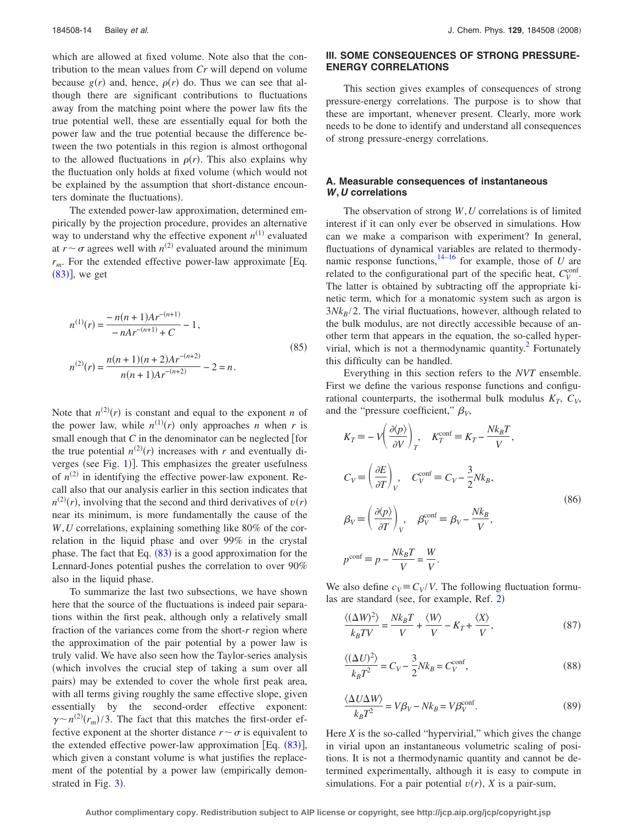which are allowed at fixed volume. Note also that the contribution to the mean values from *Cr* will depend on volume because  $g(r)$  and, hence,  $\rho(r)$  do. Thus we can see that although there are significant contributions to fluctuations away from the matching point where the power law fits the true potential well, these are essentially equal for both the power law and the true potential because the difference between the two potentials in this region is almost orthogonal to the allowed fluctuations in  $\rho(r)$ . This also explains why the fluctuation only holds at fixed volume (which would not be explained by the assumption that short-distance encounters dominate the fluctuations).

The extended power-law approximation, determined empirically by the projection procedure, provides an alternative way to understand why the effective exponent  $n^{(1)}$  evaluated at  $r \sim \sigma$  agrees well with  $n^{(2)}$  evaluated around the minimum  $r_m$ . For the extended effective power-law approximate [Eq.  $(83)$  $(83)$  $(83)$ ], we get

$$
n^{(1)}(r) = \frac{-n(n+1)Ar^{-(n+1)}}{-nAr^{-(n+1)} + C} - 1,
$$
  
\n
$$
n^{(2)}(r) = \frac{n(n+1)(n+2)Ar^{-(n+2)}}{n(n+1)Ar^{-(n+2)}} - 2 = n.
$$
\n(85)

Note that  $n^{(2)}(r)$  is constant and equal to the exponent *n* of the power law, while  $n^{(1)}(r)$  only approaches *n* when *r* is small enough that  $C$  in the denominator can be neglected  $[for]$ the true potential  $n^{(2)}(r)$  increases with *r* and eventually diverges (see Fig.  $1$ )]. This emphasizes the greater usefulness of  $n^{(2)}$  in identifying the effective power-law exponent. Recall also that our analysis earlier in this section indicates that  $n^{(2)}(r)$ , involving that the second and third derivatives of  $v(r)$ near its minimum, is more fundamentally the cause of the *W*,*U* correlations, explaining something like 80% of the correlation in the liquid phase and over 99% in the crystal phase. The fact that Eq.  $(83)$  $(83)$  $(83)$  is a good approximation for the Lennard-Jones potential pushes the correlation to over 90% also in the liquid phase.

To summarize the last two subsections, we have shown here that the source of the fluctuations is indeed pair separations within the first peak, although only a relatively small fraction of the variances come from the short-*r* region where the approximation of the pair potential by a power law is truly valid. We have also seen how the Taylor-series analysis which involves the crucial step of taking a sum over all pairs) may be extended to cover the whole first peak area, with all terms giving roughly the same effective slope, given essentially by the second-order effective exponent:  $\gamma \sim n^{(2)}(r_m)/3$ . The fact that this matches the first-order effective exponent at the shorter distance  $r \sim \sigma$  is equivalent to the extended effective power-law approximation [Eq. ([83](#page-12-1))], which given a constant volume is what justifies the replacement of the potential by a power law (empirically demonstrated in Fig.  $3$ ).

#### **III. SOME CONSEQUENCES OF STRONG PRESSURE-ENERGY CORRELATIONS**

This section gives examples of consequences of strong pressure-energy correlations. The purpose is to show that these are important, whenever present. Clearly, more work needs to be done to identify and understand all consequences of strong pressure-energy correlations.

## **A. Measurable consequences of instantaneous** *W***,***U* **correlations**

The observation of strong *W*,*U* correlations is of limited interest if it can only ever be observed in simulations. How can we make a comparison with experiment? In general, fluctuations of dynamical variables are related to thermodynamic response functions, $14-16$  for example, those of *U* are related to the configurational part of the specific heat,  $C_V^{\text{conf}}$ . The latter is obtained by subtracting off the appropriate kinetic term, which for a monatomic system such as argon is  $3Nk_B/2$ . The virial fluctuations, however, although related to the bulk modulus, are not directly accessible because of another term that appears in the equation, the so-called hypervirial, which is not a thermodynamic quantity. $\sim$  Fortunately this difficulty can be handled.

Everything in this section refers to the *NVT* ensemble. First we define the various response functions and configurational counterparts, the isothermal bulk modulus  $K_T$ ,  $C_V$ , and the "pressure coefficient,"  $\beta_V$ ,

$$
K_T = -V \left(\frac{\partial \langle p \rangle}{\partial V}\right)_T, \quad K_T^{\text{conf}} = K_T - \frac{N k_B T}{V},
$$
  
\n
$$
C_V = \left(\frac{\partial E}{\partial T}\right)_V, \quad C_V^{\text{conf}} = C_V - \frac{3}{2} N k_B,
$$
  
\n
$$
\beta_V = \left(\frac{\partial \langle p \rangle}{\partial T}\right)_V, \quad \beta_V^{\text{conf}} = \beta_V - \frac{N k_B}{V},
$$
  
\n
$$
p^{\text{conf}} = p - \frac{N k_B T}{V} = \frac{W}{V}.
$$
\n(86)

We also define  $c_V = C_V/V$ . The following fluctuation formu-las are standard (see, for example, Ref. [2](#page-18-1))

<span id="page-13-0"></span>
$$
\frac{\langle (\Delta W)^2 \rangle}{k_B T V} = \frac{N k_B T}{V} + \frac{\langle W \rangle}{V} - K_T + \frac{\langle X \rangle}{V},\tag{87}
$$

$$
\frac{\langle (\Delta U)^2 \rangle}{k_B T^2} = C_V - \frac{3}{2} N k_B = C_V^{\text{conf}},\tag{88}
$$

<span id="page-13-1"></span>
$$
\frac{\langle \Delta U \Delta W \rangle}{k_B T^2} = V \beta_V - N k_B = V \beta_V^{\text{conf}}.
$$
\n(89)

Here *X* is the so-called "hypervirial," which gives the change in virial upon an instantaneous volumetric scaling of positions. It is not a thermodynamic quantity and cannot be determined experimentally, although it is easy to compute in simulations. For a pair potential  $v(r)$ , X is a pair-sum,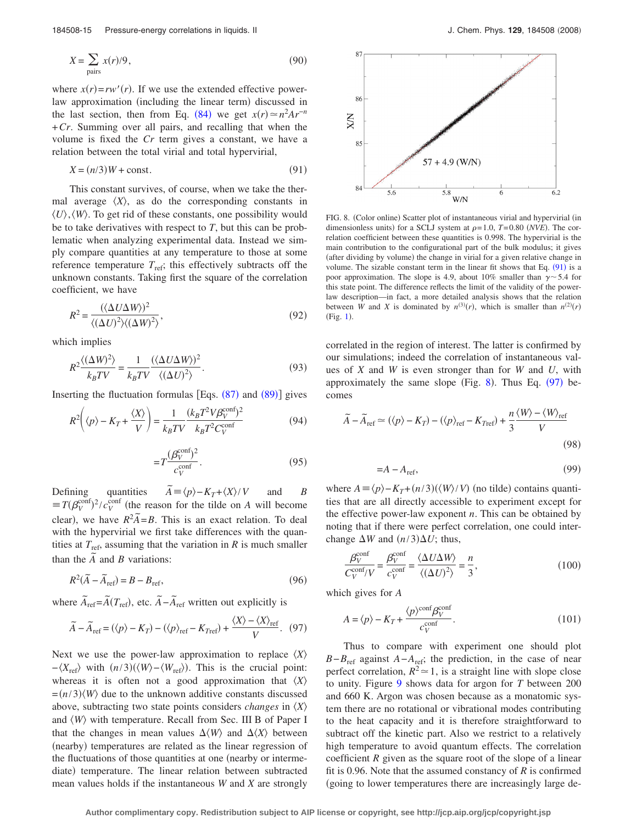$$
X = \sum_{\text{pairs}} x(r)/9,
$$
 (90)

where  $x(r) = rw'(r)$ . If we use the extended effective powerlaw approximation (including the linear term) discussed in the last section, then from Eq. ([84](#page-12-2)) we get  $x(r) \approx n^2 A r^{-n}$ +*Cr*. Summing over all pairs, and recalling that when the volume is fixed the *Cr* term gives a constant, we have a relation between the total virial and total hypervirial,

$$
X = (n/3)W + \text{const.}\tag{91}
$$

<span id="page-14-2"></span>This constant survives, of course, when we take the thermal average  $\langle X \rangle$ , as do the corresponding constants in  $\langle U \rangle$ ,  $\langle W \rangle$ . To get rid of these constants, one possibility would be to take derivatives with respect to *T*, but this can be problematic when analyzing experimental data. Instead we simply compare quantities at any temperature to those at some reference temperature  $T_{\text{ref}}$ ; this effectively subtracts off the unknown constants. Taking first the square of the correlation coefficient, we have

$$
R^{2} = \frac{(\langle \Delta U \Delta W \rangle)^{2}}{\langle (\Delta U)^{2} \rangle \langle (\Delta W)^{2} \rangle},\tag{92}
$$

which implies

$$
R^{2} \frac{\langle (\Delta W)^{2} \rangle}{k_{B} T V} = \frac{1}{k_{B} T V} \frac{(\langle \Delta U \Delta W \rangle)^{2}}{\langle (\Delta U)^{2} \rangle}.
$$
 (93)

Inserting the fluctuation formulas [Eqs.  $(87)$  $(87)$  $(87)$  and  $(89)$  $(89)$  $(89)$ ] gives

$$
R^2 \left( \langle p \rangle - K_T + \frac{\langle X \rangle}{V} \right) = \frac{1}{k_B T V} \frac{(k_B T^2 V \beta_V^{\text{conf}})^2}{k_B T^2 C_V^{\text{conf}}}
$$
(94)

$$
=T\frac{(\beta_V^{\text{conf}})^2}{c_V^{\text{conf}}}.\tag{95}
$$

Defining quantities  $\widetilde{A} \equiv \langle p \rangle - K_T + \langle X \rangle / V$  and *B*  $\equiv T(\beta_V^{\text{conf}})^2/c_V^{\text{conf}}$  (the reason for the tilde on *A* will become clear), we have  $R^2 \overline{A} = B$ . This is an exact relation. To deal with the hypervirial we first take differences with the quantities at  $T_{\text{ref}}$ , assuming that the variation in *R* is much smaller than the  $\tilde{A}$  and *B* variations:

$$
R^2(\widetilde{A} - \widetilde{A}_{\text{ref}}) = B - B_{\text{ref}},\tag{96}
$$

<span id="page-14-1"></span>where  $\tilde{A}_{\text{ref}} = \tilde{A}(T_{\text{ref}})$ , etc.  $\tilde{A} - \tilde{A}_{\text{ref}}$  written out explicitly is

$$
\widetilde{A} - \widetilde{A}_{\text{ref}} = (\langle p \rangle - K_T) - (\langle p \rangle_{\text{ref}} - K_{\text{Tref}}) + \frac{\langle X \rangle - \langle X \rangle_{\text{ref}}}{V}.
$$
 (97)

Next we use the power-law approximation to replace  $\langle X \rangle$  $-\langle X_{\text{ref}} \rangle$  with  $(n/3)(\langle W \rangle - \langle W_{\text{ref}} \rangle)$ . This is the crucial point: whereas it is often not a good approximation that  $\langle X \rangle$  $=$ ( $n/3$ ) $\langle W \rangle$  due to the unknown additive constants discussed above, subtracting two state points considers *changes* in *X* and  $\langle W \rangle$  with temperature. Recall from Sec. III B of Paper I that the changes in mean values  $\Delta \langle W \rangle$  and  $\Delta \langle X \rangle$  between (nearby) temperatures are related as the linear regression of the fluctuations of those quantities at one (nearby or intermediate) temperature. The linear relation between subtracted mean values holds if the instantaneous *W* and *X* are strongly

<span id="page-14-0"></span>

FIG. 8. (Color online) Scatter plot of instantaneous virial and hypervirial (in dimensionless units) for a SCLJ system at  $\rho = 1.0$ ,  $T = 0.80$  *(NVE)*. The correlation coefficient between these quantities is 0.998. The hypervirial is the main contribution to the configurational part of the bulk modulus; it gives (after dividing by volume) the change in virial for a given relative change in volume. The sizable constant term in the linear fit shows that Eq.  $(91)$  $(91)$  $(91)$  is a poor approximation. The slope is 4.9, about 10% smaller than  $\gamma$  ~ 5.4 for this state point. The difference reflects the limit of the validity of the powerlaw description—in fact, a more detailed analysis shows that the relation between *W* and *X* is dominated by  $n^{(3)}(r)$ , which is smaller than  $n^{(2)}(r)$  $(Fig. 1)$  $(Fig. 1)$  $(Fig. 1)$ .

correlated in the region of interest. The latter is confirmed by our simulations; indeed the correlation of instantaneous values of *X* and *W* is even stronger than for *W* and *U*, with approximately the same slope (Fig. [8](#page-14-0)). Thus Eq.  $(97)$  $(97)$  $(97)$  becomes

$$
\widetilde{A} - \widetilde{A}_{\text{ref}} \simeq (\langle p \rangle - K_T) - (\langle p \rangle_{\text{ref}} - K_{\text{Tref}}) + \frac{n}{3} \frac{\langle W \rangle - \langle W \rangle_{\text{ref}}}{V}
$$
\n(98)

$$
=A - A_{\text{ref}},\tag{99}
$$

where  $A = \langle p \rangle - K_T + (n/3) (\langle W \rangle / V)$  (no tilde) contains quantities that are all directly accessible to experiment except for the effective power-law exponent *n*. This can be obtained by noting that if there were perfect correlation, one could interchange  $\Delta W$  and  $(n/3)\Delta U$ ; thus,

$$
\frac{\beta_V^{\text{conf}}}{C_V^{\text{conf}}/V} = \frac{\beta_V^{\text{conf}}}{c_V^{\text{conf}}} = \frac{\langle \Delta U \Delta W \rangle}{\langle (\Delta U)^2 \rangle} = \frac{n}{3},\tag{100}
$$

which gives for *A*

$$
A = \langle p \rangle - K_T + \frac{\langle p \rangle^{\text{conf}} \beta_V^{\text{conf}}}{c_V^{\text{conf}}}.
$$
\n(101)

Thus to compare with experiment one should plot *B*−*B*<sub>ref</sub> against *A*−*A*<sub>ref</sub>; the prediction, in the case of near perfect correlation,  $R^2 \approx 1$ , is a straight line with slope close to unity. Figure [9](#page-15-0) shows data for argon for *T* between 200 and 660 K. Argon was chosen because as a monatomic system there are no rotational or vibrational modes contributing to the heat capacity and it is therefore straightforward to subtract off the kinetic part. Also we restrict to a relatively high temperature to avoid quantum effects. The correlation coefficient *R* given as the square root of the slope of a linear fit is 0.96. Note that the assumed constancy of *R* is confirmed going to lower temperatures there are increasingly large de-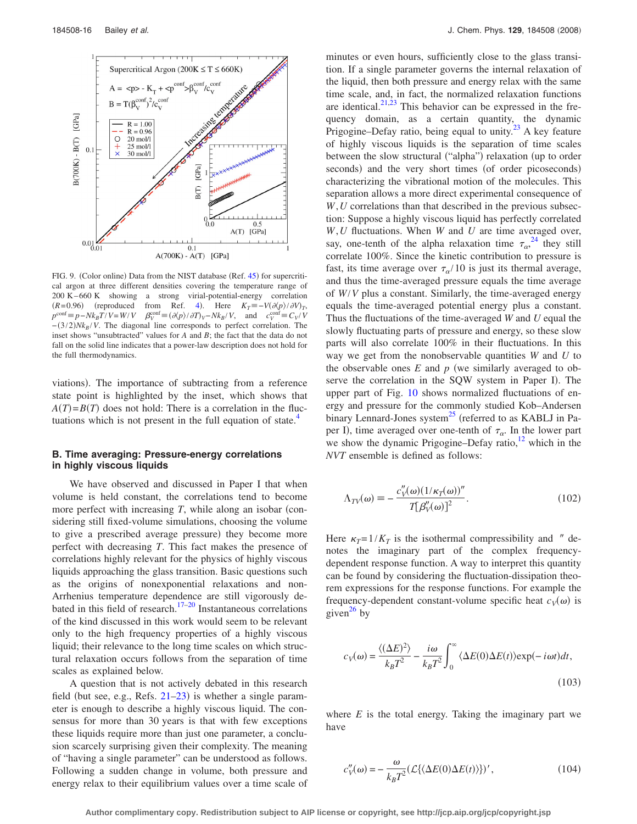<span id="page-15-0"></span>

FIG. 9. (Color online) Data from the NIST database (Ref. [45](#page-19-12)) for supercritical argon at three different densities covering the temperature range of 200 K – 660 K showing a strong virial-potential-energy correlation  $(R= 0.96)$  (reproduced from Ref. [4](#page-18-3)). Here  $K_T \equiv -V(\partial \langle p \rangle / \partial V)_T$ ,  $p^{\text{conf}} = p - Nk_B T/V = W/V$   $\beta_V^{\text{conf}} = (\partial \langle p \rangle / \partial T)_V - Nk_B/V$ , and  $c_V^{\text{conf}} = C_V/V$  $-(3/2)Nk_B/V$ . The diagonal line corresponds to perfect correlation. The inset shows "unsubtracted" values for *A* and *B*; the fact that the data do not fall on the solid line indicates that a power-law description does not hold for the full thermodynamics.

viations). The importance of subtracting from a reference state point is highlighted by the inset, which shows that  $A(T) = B(T)$  does not hold: There is a correlation in the fluctuations which is not present in the full equation of state. $4$ 

## **B. Time averaging: Pressure-energy correlations in highly viscous liquids**

We have observed and discussed in Paper I that when volume is held constant, the correlations tend to become more perfect with increasing  $T$ , while along an isobar (considering still fixed-volume simulations, choosing the volume to give a prescribed average pressure) they become more perfect with decreasing *T*. This fact makes the presence of correlations highly relevant for the physics of highly viscous liquids approaching the glass transition. Basic questions such as the origins of nonexponential relaxations and non-Arrhenius temperature dependence are still vigorously debated in this field of research. $17-20$  $17-20$  Instantaneous correlations of the kind discussed in this work would seem to be relevant only to the high frequency properties of a highly viscous liquid; their relevance to the long time scales on which structural relaxation occurs follows from the separation of time scales as explained below.

A question that is not actively debated in this research field (but see, e.g., Refs.  $21-23$  $21-23$ ) is whether a single parameter is enough to describe a highly viscous liquid. The consensus for more than 30 years is that with few exceptions these liquids require more than just one parameter, a conclusion scarcely surprising given their complexity. The meaning of "having a single parameter" can be understood as follows. Following a sudden change in volume, both pressure and energy relax to their equilibrium values over a time scale of minutes or even hours, sufficiently close to the glass transition. If a single parameter governs the internal relaxation of the liquid, then both pressure and energy relax with the same time scale, and, in fact, the normalized relaxation functions are identical. $2^{1,23}$  $2^{1,23}$  $2^{1,23}$  This behavior can be expressed in the frequency domain, as a certain quantity, the dynamic Prigogine–Defay ratio, being equal to unity.<sup>23</sup> A key feature of highly viscous liquids is the separation of time scales between the slow structural ("alpha") relaxation (up to order seconds) and the very short times (of order picoseconds) characterizing the vibrational motion of the molecules. This separation allows a more direct experimental consequence of *W*,*U* correlations than that described in the previous subsection: Suppose a highly viscous liquid has perfectly correlated *W*,*U* fluctuations. When *W* and *U* are time averaged over, say, one-tenth of the alpha relaxation time  $\tau_{\alpha}^{24}$  $\tau_{\alpha}^{24}$  $\tau_{\alpha}^{24}$  they still correlate 100%. Since the kinetic contribution to pressure is fast, its time average over  $\tau_{\alpha}/10$  is just its thermal average, and thus the time-averaged pressure equals the time average of *W*/*V* plus a constant. Similarly, the time-averaged energy equals the time-averaged potential energy plus a constant. Thus the fluctuations of the time-averaged *W* and *U* equal the slowly fluctuating parts of pressure and energy, so these slow parts will also correlate 100% in their fluctuations. In this way we get from the nonobservable quantities *W* and *U* to the observable ones  $E$  and  $p$  (we similarly averaged to observe the correlation in the SQW system in Paper I). The upper part of Fig. [10](#page-16-0) shows normalized fluctuations of energy and pressure for the commonly studied Kob–Andersen binary Lennard-Jones system<sup>25</sup> (referred to as KABLJ in Paper I), time averaged over one-tenth of  $\tau_{\alpha}$ . In the lower part we show the dynamic Prigogine–Defay ratio, $12$  which in the *NVT* ensemble is defined as follows:

$$
\Lambda_{TV}(\omega) \equiv -\frac{c_V''(\omega)(1/\kappa_T(\omega))^{\prime\prime}}{T[\beta_V'(\omega)]^2}.\tag{102}
$$

Here  $\kappa_T = 1/K_T$  is the isothermal compressibility and  $''$  denotes the imaginary part of the complex frequencydependent response function. A way to interpret this quantity can be found by considering the fluctuation-dissipation theorem expressions for the response functions. For example the frequency-dependent constant-volume specific heat  $c_V(\omega)$  is given<sup>26</sup> by

$$
c_V(\omega) = \frac{\langle (\Delta E)^2 \rangle}{k_B T^2} - \frac{i\omega}{k_B T^2} \int_0^\infty \langle \Delta E(0) \Delta E(t) \rangle \exp(-i\omega t) dt,
$$
\n(103)

where  $E$  is the total energy. Taking the imaginary part we have

$$
c_V''(\omega) = -\frac{\omega}{k_B T^2} (\mathcal{L}\{\langle \Delta E(0) \Delta E(t) \rangle\}'\,,\tag{104}
$$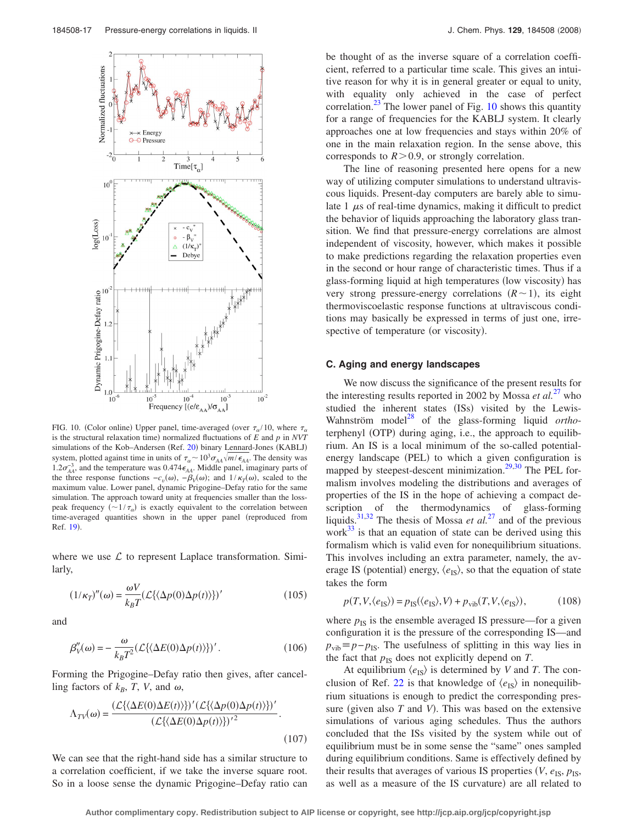<span id="page-16-0"></span>

FIG. 10. (Color online) Upper panel, time-averaged (over  $\tau_{\alpha}/10$ , where  $\tau_{\alpha}$ is the structural relaxation time) normalized fluctuations of  $E$  and  $p$  in *NVT* simulations of the Kob-Andersen (Ref. [20](#page-19-6)) binary Lennard-Jones (KABLJ) system, plotted against time in units of  $\tau_{\alpha} \sim 10^{3} \sigma_{AA} \sqrt{m/\epsilon_{AA}}$ . The density was  $1.2\sigma_{AA}^{-3}$ , and the temperature was  $0.474\epsilon_{AA}$ . Middle panel, imaginary parts of the three response functions  $-c_v(\omega)$ ,  $-\beta_v(\omega)$ ; and  $1/\kappa(\omega)$ , scaled to the maximum value. Lower panel, dynamic Prigogine–Defay ratio for the same simulation. The approach toward unity at frequencies smaller than the losspeak frequency  $(\sim 1/\tau_{\alpha})$  is exactly equivalent to the correlation between time-averaged quantities shown in the upper panel (reproduced from Ref. [19](#page-19-21)).

where we use  $\mathcal L$  to represent Laplace transformation. Similarly,

$$
(1/\kappa_T)''(\omega) = \frac{\omega V}{k_B T} (\mathcal{L}\{\langle \Delta p(0) \Delta p(t) \rangle\})'
$$
(105)

and

$$
\beta_V''(\omega) = -\frac{\omega}{k_B T^2} (\mathcal{L}\{\langle \Delta E(0)\Delta p(t)\rangle\})'.
$$
 (106)

Forming the Prigogine–Defay ratio then gives, after cancelling factors of  $k_B$ , *T*, *V*, and  $\omega$ ,

$$
\Lambda_{TV}(\omega) = \frac{(\mathcal{L}\{\langle \Delta E(0)\Delta E(t)\rangle\}' (\mathcal{L}\{\langle \Delta p(0)\Delta p(t)\rangle\})'}{(\mathcal{L}\{\langle \Delta E(0)\Delta p(t)\rangle\})'^2}.
$$
\n(107)

We can see that the right-hand side has a similar structure to a correlation coefficient, if we take the inverse square root. So in a loose sense the dynamic Prigogine–Defay ratio can be thought of as the inverse square of a correlation coefficient, referred to a particular time scale. This gives an intuitive reason for why it is in general greater or equal to unity, with equality only achieved in the case of perfect correlation.<sup>23</sup> The lower panel of Fig. [10](#page-16-0) shows this quantity for a range of frequencies for the KABLJ system. It clearly approaches one at low frequencies and stays within 20% of one in the main relaxation region. In the sense above, this corresponds to  $R > 0.9$ , or strongly correlation.

The line of reasoning presented here opens for a new way of utilizing computer simulations to understand ultraviscous liquids. Present-day computers are barely able to simulate  $1 \mu s$  of real-time dynamics, making it difficult to predict the behavior of liquids approaching the laboratory glass transition. We find that pressure-energy correlations are almost independent of viscosity, however, which makes it possible to make predictions regarding the relaxation properties even in the second or hour range of characteristic times. Thus if a glass-forming liquid at high temperatures (low viscosity) has very strong pressure-energy correlations  $(R \sim 1)$ , its eight thermoviscoelastic response functions at ultraviscous conditions may basically be expressed in terms of just one, irrespective of temperature (or viscosity).

#### **C. Aging and energy landscapes**

We now discuss the significance of the present results for the interesting results reported in 2002 by Mossa *et al.*<sup>[27](#page-19-13)</sup> who studied the inherent states (ISs) visited by the Lewis-Wahnström model<sup>28</sup> of the glass-forming liquid *ortho*terphenyl (OTP) during aging, i.e., the approach to equilibrium. An IS is a local minimum of the so-called potentialenergy landscape (PEL) to which a given configuration is mapped by steepest-descent minimization.<sup>29[,30](#page-19-16)</sup> The PEL formalism involves modeling the distributions and averages of properties of the IS in the hope of achieving a compact description of the thermodynamics of glass-forming liquids[.31](#page-19-17)[,32](#page-19-18) The thesis of Mossa *et al.*[27](#page-19-13) and of the previous work $^{33}$  is that an equation of state can be derived using this formalism which is valid even for nonequilibrium situations. This involves including an extra parameter, namely, the average IS (potential) energy,  $\langle e_{\text{IS}} \rangle$ , so that the equation of state takes the form

$$
p(T, V, \langle e_{\text{IS}} \rangle) = p_{\text{IS}}(\langle e_{\text{IS}} \rangle, V) + p_{\text{vib}}(T, V, \langle e_{\text{IS}} \rangle), \tag{108}
$$

where  $p_{IS}$  is the ensemble averaged IS pressure—for a given configuration it is the pressure of the corresponding IS—and  $p_{vib} \equiv p - p_{IS}$ . The usefulness of splitting in this way lies in the fact that  $p_{IS}$  does not explicitly depend on  $T$ .

At equilibrium  $\langle e_{\text{IS}} \rangle$  is determined by *V* and *T*. The con-clusion of Ref. [22](#page-19-20) is that knowledge of  $\langle e_{\text{IS}} \rangle$  in nonequilibrium situations is enough to predict the corresponding pressure (given also  $T$  and  $V$ ). This was based on the extensive simulations of various aging schedules. Thus the authors concluded that the ISs visited by the system while out of equilibrium must be in some sense the "same" ones sampled during equilibrium conditions. Same is effectively defined by their results that averages of various IS properties  $(V, e_{\text{IS}}, p_{\text{IS}},)$ as well as a measure of the IS curvature) are all related to

**Author complimentary copy. Redistribution subject to AIP license or copyright, see http://jcp.aip.org/jcp/copyright.jsp**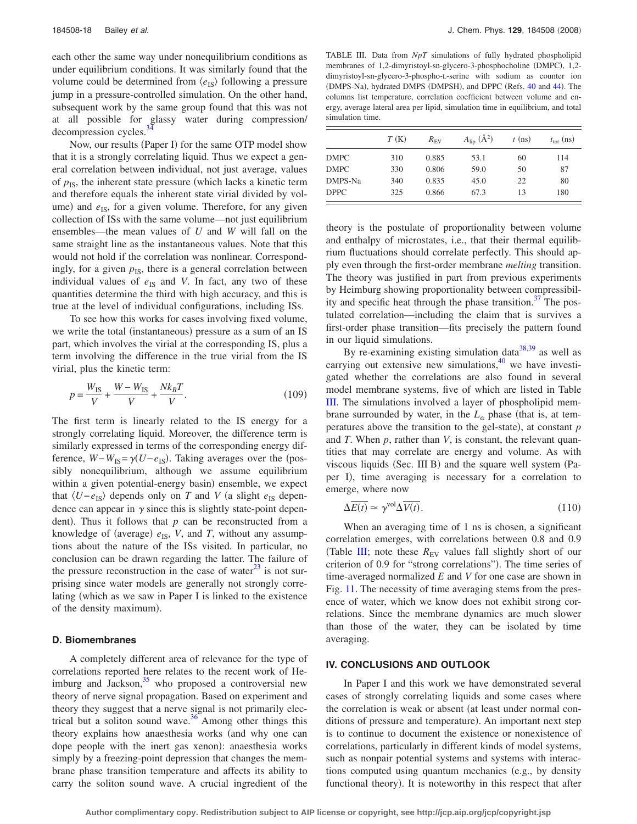each other the same way under nonequilibrium conditions as under equilibrium conditions. It was similarly found that the volume could be determined from  $\langle e_{\text{IS}} \rangle$  following a pressure jump in a pressure-controlled simulation. On the other hand, subsequent work by the same group found that this was not at all possible for glassy water during compression/ decompression cycles.<sup>3</sup>

Now, our results (Paper I) for the same OTP model show that it is a strongly correlating liquid. Thus we expect a general correlation between individual, not just average, values of  $p_{IS}$ , the inherent state pressure (which lacks a kinetic term and therefore equals the inherent state virial divided by volume) and  $e_{IS}$ , for a given volume. Therefore, for any given collection of ISs with the same volume—not just equilibrium ensembles—the mean values of *U* and *W* will fall on the same straight line as the instantaneous values. Note that this would not hold if the correlation was nonlinear. Correspondingly, for a given  $p_{IS}$ , there is a general correlation between individual values of  $e_{IS}$  and *V*. In fact, any two of these quantities determine the third with high accuracy, and this is true at the level of individual configurations, including ISs.

To see how this works for cases involving fixed volume, we write the total (instantaneous) pressure as a sum of an IS part, which involves the virial at the corresponding IS, plus a term involving the difference in the true virial from the IS virial, plus the kinetic term:

$$
p = \frac{W_{IS}}{V} + \frac{W - W_{IS}}{V} + \frac{Nk_B T}{V}.
$$
 (109)

The first term is linearly related to the IS energy for a strongly correlating liquid. Moreover, the difference term is similarly expressed in terms of the corresponding energy difference,  $W-W_{\text{IS}} = \gamma(U-e_{\text{IS}})$ . Taking averages over the (possibly nonequilibrium, although we assume equilibrium within a given potential-energy basin) ensemble, we expect that  $\langle U-e_{\text{IS}} \rangle$  depends only on *T* and *V* (a slight  $e_{\text{IS}}$  dependence can appear in  $\gamma$  since this is slightly state-point dependent). Thus it follows that  $p$  can be reconstructed from a knowledge of (average)  $e_{IS}$ , *V*, and *T*, without any assumptions about the nature of the ISs visited. In particular, no conclusion can be drawn regarding the latter. The failure of the pressure reconstruction in the case of water $^{23}$  is not surprising since water models are generally not strongly correlating (which as we saw in Paper I is linked to the existence of the density maximum).

#### **D. Biomembranes**

A completely different area of relevance for the type of correlations reported here relates to the recent work of Heimburg and Jackson, $35$  who proposed a controversial new theory of nerve signal propagation. Based on experiment and theory they suggest that a nerve signal is not primarily electrical but a soliton sound wave. $36$  Among other things this theory explains how anaesthesia works (and why one can dope people with the inert gas xenon): anaesthesia works simply by a freezing-point depression that changes the membrane phase transition temperature and affects its ability to carry the soliton sound wave. A crucial ingredient of the

<span id="page-17-0"></span>TABLE III. Data from *NpT* simulations of fully hydrated phospholipid membranes of 1,2-dimyristoyl-sn-glycero-3-phosphocholine (DMPC), 1,2dimyristoyl-sn-glycero-3-phospho-L-serine with sodium as counter ion (DMPS-Na), hydrated DMPS (DMPSH), and DPPC (Refs. [40](#page-19-28) and [44](#page-19-29)). The columns list temperature, correlation coefficient between volume and energy, average lateral area per lipid, simulation time in equilibrium, and total simulation time.

|             | T(K) | $R_{\rm FV}$ | $A_{\rm lip}$ $(\rm \AA^2)$ | $t$ (ns) | $t_{\rm tot}$ (ns) |
|-------------|------|--------------|-----------------------------|----------|--------------------|
| <b>DMPC</b> | 310  | 0.885        | 53.1                        | 60       | 114                |
| <b>DMPC</b> | 330  | 0.806        | 59.0                        | 50       | 87                 |
| DMPS-Na     | 340  | 0.835        | 45.0                        | 22       | 80                 |
| <b>DPPC</b> | 325  | 0.866        | 67.3                        | 13       | 180                |

theory is the postulate of proportionality between volume and enthalpy of microstates, i.e., that their thermal equilibrium fluctuations should correlate perfectly. This should apply even through the first-order membrane *melting* transition. The theory was justified in part from previous experiments by Heimburg showing proportionality between compressibility and specific heat through the phase transition. $37$  The postulated correlation—including the claim that is survives a first-order phase transition—fits precisely the pattern found in our liquid simulations.

By re-examining existing simulation  $data^{38,39}$  $data^{38,39}$  $data^{38,39}$  as well as carrying out extensive new simulations, $40$  we have investigated whether the correlations are also found in several model membrane systems, five of which are listed in Table [III.](#page-17-0) The simulations involved a layer of phospholipid membrane surrounded by water, in the  $L_{\alpha}$  phase (that is, at temperatures above the transition to the gel-state), at constant *p* and *T*. When *p*, rather than *V*, is constant, the relevant quantities that may correlate are energy and volume. As with viscous liquids (Sec. III B) and the square well system (Paper I), time averaging is necessary for a correlation to emerge, where now

$$
\Delta \overline{E(t)} \simeq \gamma^{\text{vol}} \Delta \overline{V(t)}.
$$
\n(110)

When an averaging time of 1 ns is chosen, a significant correlation emerges, with correlations between 0.8 and 0.9 (Table [III;](#page-17-0) note these  $R_{EV}$  values fall slightly short of our criterion of 0.9 for "strong correlations"). The time series of time-averaged normalized *E* and *V* for one case are shown in Fig. [11.](#page-18-10) The necessity of time averaging stems from the presence of water, which we know does not exhibit strong correlations. Since the membrane dynamics are much slower than those of the water, they can be isolated by time averaging.

#### **IV. CONCLUSIONS AND OUTLOOK**

In Paper I and this work we have demonstrated several cases of strongly correlating liquids and some cases where the correlation is weak or absent (at least under normal conditions of pressure and temperature). An important next step is to continue to document the existence or nonexistence of correlations, particularly in different kinds of model systems, such as nonpair potential systems and systems with interactions computed using quantum mechanics (e.g., by density functional theory). It is noteworthy in this respect that after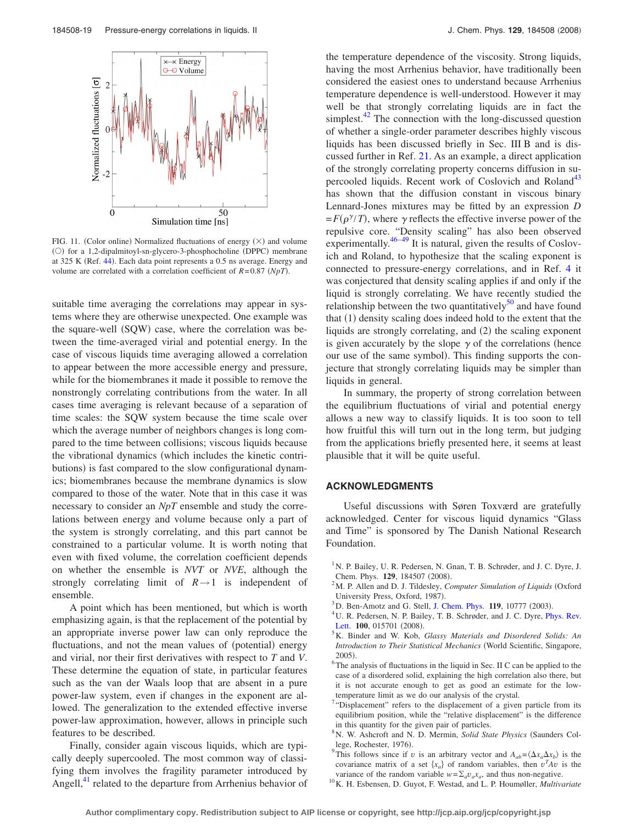<span id="page-18-10"></span>

FIG. 11. (Color online) Normalized fluctuations of energy  $(\times)$  and volume (O) for a 1,2-dipalmitoyl-sn-glycero-3-phosphocholine (DPPC) membrane at 325 K (Ref. [44](#page-19-29)). Each data point represents a 0.5 ns average. Energy and volume are correlated with a correlation coefficient of  $R = 0.87$  *(NpT)*.

suitable time averaging the correlations may appear in systems where they are otherwise unexpected. One example was the square-well (SQW) case, where the correlation was between the time-averaged virial and potential energy. In the case of viscous liquids time averaging allowed a correlation to appear between the more accessible energy and pressure, while for the biomembranes it made it possible to remove the nonstrongly correlating contributions from the water. In all cases time averaging is relevant because of a separation of time scales: the SQW system because the time scale over which the average number of neighbors changes is long compared to the time between collisions; viscous liquids because the vibrational dynamics (which includes the kinetic contributions) is fast compared to the slow configurational dynamics; biomembranes because the membrane dynamics is slow compared to those of the water. Note that in this case it was necessary to consider an *NpT* ensemble and study the correlations between energy and volume because only a part of the system is strongly correlating, and this part cannot be constrained to a particular volume. It is worth noting that even with fixed volume, the correlation coefficient depends on whether the ensemble is *NVT* or *NVE*, although the strongly correlating limit of  $R \rightarrow 1$  is independent of ensemble.

A point which has been mentioned, but which is worth emphasizing again, is that the replacement of the potential by an appropriate inverse power law can only reproduce the fluctuations, and not the mean values of (potential) energy and virial, nor their first derivatives with respect to *T* and *V*. These determine the equation of state, in particular features such as the van der Waals loop that are absent in a pure power-law system, even if changes in the exponent are allowed. The generalization to the extended effective inverse power-law approximation, however, allows in principle such features to be described.

Finally, consider again viscous liquids, which are typically deeply supercooled. The most common way of classifying them involves the fragility parameter introduced by Angell,<sup>41</sup> related to the departure from Arrhenius behavior of the temperature dependence of the viscosity. Strong liquids, having the most Arrhenius behavior, have traditionally been considered the easiest ones to understand because Arrhenius temperature dependence is well-understood. However it may well be that strongly correlating liquids are in fact the simplest. $42$  The connection with the long-discussed question of whether a single-order parameter describes highly viscous liquids has been discussed briefly in Sec. III B and is discussed further in Ref. [21.](#page-19-7) As an example, a direct application of the strongly correlating property concerns diffusion in supercooled liquids. Recent work of Coslovich and Roland<sup>43</sup> has shown that the diffusion constant in viscous binary Lennard-Jones mixtures may be fitted by an expression *D*  $= F(\rho^{\gamma}/T)$ , where  $\gamma$  reflects the effective inverse power of the repulsive core. "Density scaling" has also been observed experimentally. $46-49$  It is natural, given the results of Coslovich and Roland, to hypothesize that the scaling exponent is connected to pressure-energy correlations, and in Ref. [4](#page-18-3) it was conjectured that density scaling applies if and only if the liquid is strongly correlating. We have recently studied the relationship between the two quantitatively $50$  and have found that (1) density scaling does indeed hold to the extent that the liquids are strongly correlating, and (2) the scaling exponent is given accurately by the slope  $\gamma$  of the correlations (hence our use of the same symbol). This finding supports the conjecture that strongly correlating liquids may be simpler than liquids in general.

In summary, the property of strong correlation between the equilibrium fluctuations of virial and potential energy allows a new way to classify liquids. It is too soon to tell how fruitful this will turn out in the long term, but judging from the applications briefly presented here, it seems at least plausible that it will be quite useful.

#### **ACKNOWLEDGMENTS**

Useful discussions with Søren Toxværd are gratefully acknowledged. Center for viscous liquid dynamics "Glass and Time" is sponsored by The Danish National Research Foundation.

- <span id="page-18-0"></span><sup>1</sup> N. P. Bailey, U. R. Pedersen, N. Gnan, T. B. Schrøder, and J. C. Dyre, J. Chem. Phys. **129**, 184507 (2008).
- <span id="page-18-1"></span><sup>2</sup>M. P. Allen and D. J. Tildesley, *Computer Simulation of Liquids* (Oxford University Press, Oxford, 1987).
- <span id="page-18-2"></span><sup>3</sup>D. Ben-Amotz and G. Stell, [J. Chem. Phys.](http://dx.doi.org/10.1063/1.1620995) **119**, 10777 (2003).
- <span id="page-18-3"></span><sup>4</sup>U. R. Pedersen, N. P. Bailey, T. B. Schrøder, and J. C. Dyre, *[Phys. Rev.](http://dx.doi.org/10.1103/PhysRevLett.100.015701)* [Lett.](http://dx.doi.org/10.1103/PhysRevLett.100.015701) **100**, 015701 (2008).
- <span id="page-18-4"></span>K. Binder and W. Kob, *Glassy Materials and Disordered Solids: An Introduction to Their Statistical Mechanics* World Scientific, Singapore,  $2005$ ). 2005).<br><sup>6</sup> The analysis of fluctuations in the liquid in Sec. II C can be applied to the
- <span id="page-18-5"></span>case of a disordered solid, explaining the high correlation also there, but it is not accurate enough to get as good an estimate for the lowtemperature limit as we do our analysis of the crystal.
- <span id="page-18-6"></span><sup>7</sup>"Displacement" refers to the displacement of a given particle from its equilibrium position, while the "relative displacement" is the difference in this quantity for the given pair of particles.
- <span id="page-18-7"></span><sup>8</sup> N. W. Ashcroft and N. D. Mermin, *Solid State Physics* (Saunders College, Rochester, 1976).<br><sup>9</sup> This follows since if  $\cdot$
- <span id="page-18-8"></span>This follows since if *v* is an arbitrary vector and  $A_{ab} = \langle \Delta x_a \Delta x_b \rangle$  is the covariance matrix of a set  $\{x_a\}$  of random variables, then  $v^T A v$  is the
- <span id="page-18-9"></span>variance of the random variable  $w = \sum_a v_a x_a$ , and thus non-negative. <sup>10</sup>K. H. Esbensen, D. Guyot, F. Westad, and L. P. Houmøller, *Multivariate*